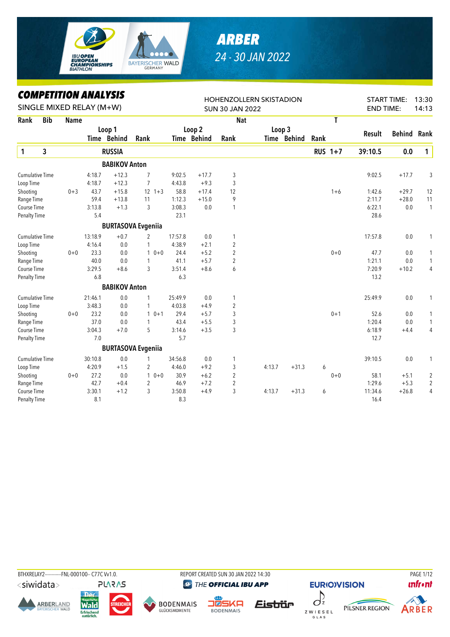

## *ARBER 24 - 30 JAN 2022*

## *COMPETITION ANALYSIS*

|                        |            | LUMPEIIIIUN ANALIYIY     |         |                      |                           |         |             | <b>HOHENZOLLERN SKISTADION</b> |        |             |      |                |                  | <b>START TIME:</b> | 13:30          |
|------------------------|------------|--------------------------|---------|----------------------|---------------------------|---------|-------------|--------------------------------|--------|-------------|------|----------------|------------------|--------------------|----------------|
|                        |            | SINGLE MIXED RELAY (M+W) |         |                      |                           |         |             | <b>SUN 30 JAN 2022</b>         |        |             |      |                | <b>END TIME:</b> |                    | 14:13          |
| Rank                   | <b>Bib</b> | <b>Name</b>              |         |                      |                           |         |             | <b>Nat</b>                     |        |             |      | T              |                  |                    |                |
|                        |            |                          |         | Loop 1               |                           |         | Loop 2      |                                | Loop 3 |             |      |                | Result           | <b>Behind</b>      | Rank           |
|                        |            |                          |         | Time Behind          | Rank                      |         | Time Behind | Rank                           |        | Time Behind | Rank |                |                  |                    |                |
| $\mathbf{1}$           | 3          |                          |         | <b>RUSSIA</b>        |                           |         |             |                                |        |             |      | <b>RUS 1+7</b> | 39:10.5          | 0.0                | $\mathbf{1}$   |
|                        |            |                          |         | <b>BABIKOV Anton</b> |                           |         |             |                                |        |             |      |                |                  |                    |                |
| <b>Cumulative Time</b> |            |                          | 4:18.7  | $+12.3$              | 7                         | 9:02.5  | $+17.7$     | 3                              |        |             |      |                | 9:02.5           | $+17.7$            | 3              |
| Loop Time              |            |                          | 4:18.7  | $+12.3$              | $\overline{7}$            | 4:43.8  | $+9.3$      | 3                              |        |             |      |                |                  |                    |                |
| Shooting               |            | $0 + 3$                  | 43.7    | $+15.8$              | $12 + 3$                  | 58.8    | $+17.4$     | 12                             |        |             |      | $1 + 6$        | 1:42.6           | $+29.7$            | 12             |
| Range Time             |            |                          | 59.4    | $+13.8$              | 11                        | 1:12.3  | $+15.0$     | 9                              |        |             |      |                | 2:11.7           | $+28.0$            | 11             |
| Course Time            |            |                          | 3:13.8  | $+1.3$               | 3                         | 3:08.3  | 0.0         | 1                              |        |             |      |                | 6:22.1           | 0.0                | $\mathbf{1}$   |
| Penalty Time           |            |                          | 5.4     |                      |                           | 23.1    |             |                                |        |             |      |                | 28.6             |                    |                |
|                        |            |                          |         |                      | <b>BURTASOVA Evgeniia</b> |         |             |                                |        |             |      |                |                  |                    |                |
| <b>Cumulative Time</b> |            |                          | 13:18.9 | $+0.7$               | $\overline{c}$            | 17:57.8 | 0.0         | 1                              |        |             |      |                | 17:57.8          | 0.0                | 1              |
| Loop Time              |            |                          | 4:16.4  | 0.0                  | 1                         | 4:38.9  | $+2.1$      | $\overline{2}$                 |        |             |      |                |                  |                    |                |
| Shooting               |            | $0 + 0$                  | 23.3    | 0.0                  | $10+0$                    | 24.4    | $+5.2$      | $\overline{2}$                 |        |             |      | $0 + 0$        | 47.7             | 0.0                | 1              |
| Range Time             |            |                          | 40.0    | 0.0                  | 1                         | 41.1    | $+5.7$      | $\overline{2}$                 |        |             |      |                | 1:21.1           | 0.0                | $\mathbf{1}$   |
| Course Time            |            |                          | 3:29.5  | $+8.6$               | 3                         | 3:51.4  | $+8.6$      | 6                              |        |             |      |                | 7:20.9           | $+10.2$            | 4              |
| <b>Penalty Time</b>    |            |                          | 6.8     |                      |                           | 6.3     |             |                                |        |             |      |                | 13.2             |                    |                |
|                        |            |                          |         | <b>BABIKOV Anton</b> |                           |         |             |                                |        |             |      |                |                  |                    |                |
| <b>Cumulative Time</b> |            |                          | 21:46.1 | 0.0                  | 1                         | 25:49.9 | 0.0         | 1                              |        |             |      |                | 25:49.9          | 0.0                | 1              |
| Loop Time              |            |                          | 3:48.3  | 0.0                  | 1                         | 4:03.8  | $+4.9$      | $\overline{2}$                 |        |             |      |                |                  |                    |                |
| Shooting               |            | $0 + 0$                  | 23.2    | 0.0                  | $10+1$                    | 29.4    | $+5.7$      | 3                              |        |             |      | $0 + 1$        | 52.6             | 0.0                | 1              |
| Range Time             |            |                          | 37.0    | 0.0                  | 1                         | 43.4    | $+5.5$      | 3                              |        |             |      |                | 1:20.4           | 0.0                | 1              |
| Course Time            |            |                          | 3:04.3  | $+7.0$               | 5                         | 3:14.6  | $+3.5$      | 3                              |        |             |      |                | 6:18.9           | $+4.4$             | 4              |
| <b>Penalty Time</b>    |            |                          | 7.0     |                      |                           | 5.7     |             |                                |        |             |      |                | 12.7             |                    |                |
|                        |            |                          |         |                      | <b>BURTASOVA Evgeniia</b> |         |             |                                |        |             |      |                |                  |                    |                |
| <b>Cumulative Time</b> |            |                          | 30:10.8 | 0.0                  | 1                         | 34:56.8 | 0.0         | 1                              |        |             |      |                | 39:10.5          | 0.0                | 1              |
| Loop Time              |            |                          | 4:20.9  | $+1.5$               | 2                         | 4:46.0  | $+9.2$      | 3                              | 4:13.7 | $+31.3$     | 6    |                |                  |                    |                |
| Shooting               |            | $0 + 0$                  | 27.2    | 0.0                  | $10+0$                    | 30.9    | $+6.2$      | $\overline{2}$                 |        |             |      | $0 + 0$        | 58.1             | $+5.1$             | $\overline{c}$ |
| Range Time             |            |                          | 42.7    | $+0.4$               | $\overline{c}$            | 46.9    | $+7.2$      | $\overline{2}$                 |        |             |      |                | 1:29.6           | $+5.3$             | $\overline{2}$ |
| Course Time            |            |                          | 3:30.1  | $+1.2$               | 3                         | 3:50.8  | $+4.9$      | 3                              | 4:13.7 | $+31.3$     | 6    |                | 11:34.6          | $+26.8$            | $\overline{4}$ |
| Penalty Time           |            |                          | 8.1     |                      |                           | 8.3     |             |                                |        |             |      |                | 16.4             |                    |                |

BTHXRELAY2------------FNL-000100-- C77C Vv1.0. REPORT CREATED SUN 30 JAN 2022 14:30 PAGE 1/12**PLARAS** 

<siwidata>









THE OFFICIAL IBU APP







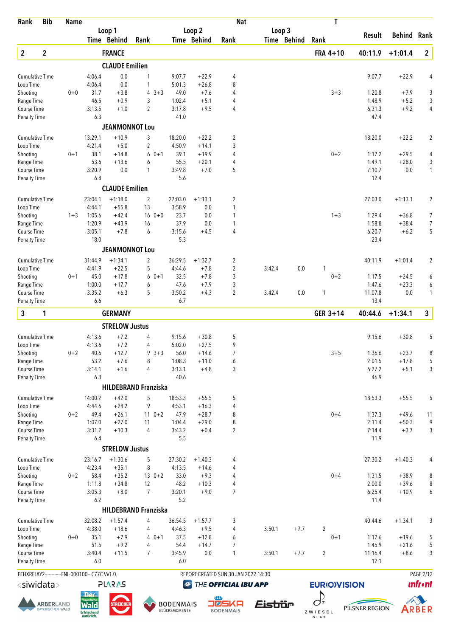| Rank                        | <b>Bib</b>                                   | <b>Name</b> |                                                                      |                       |                                |                                   |                              | <b>Nat</b>                           |                       | Τ                             |                  |                    |                 |
|-----------------------------|----------------------------------------------|-------------|----------------------------------------------------------------------|-----------------------|--------------------------------|-----------------------------------|------------------------------|--------------------------------------|-----------------------|-------------------------------|------------------|--------------------|-----------------|
|                             |                                              |             |                                                                      | Loop 1<br>Time Behind | Rank                           |                                   | Loop 2<br><b>Time Behind</b> | Rank                                 | Loop 3<br>Time Behind | Rank                          | Result           | <b>Behind</b>      | Rank            |
| $\boldsymbol{2}$            | $\mathbf 2$                                  |             |                                                                      | <b>FRANCE</b>         |                                |                                   |                              |                                      |                       | FRA 4+10                      | 40:11.9          | $+1:01.4$          | $\mathbf{2}$    |
|                             |                                              |             |                                                                      | <b>CLAUDE Emilien</b> |                                |                                   |                              |                                      |                       |                               |                  |                    |                 |
| <b>Cumulative Time</b>      |                                              |             | 4:06.4                                                               | 0.0                   | 1                              | 9:07.7                            | $+22.9$                      | 4                                    |                       |                               | 9:07.7           | $+22.9$            | 4               |
| Loop Time                   |                                              |             | 4:06.4                                                               | 0.0                   | 1                              | 5:01.3                            | $+26.8$                      | 8                                    |                       |                               |                  |                    |                 |
| Shooting                    |                                              | $0+0$       | 31.7                                                                 | $+3.8$                | $3 + 3$<br>4                   | 49.0                              | $+7.6$                       | 4                                    |                       | $3 + 3$                       | 1:20.8           | $+7.9$             | 3               |
| Range Time<br>Course Time   |                                              |             | 46.5<br>3:13.5                                                       | $+0.9$<br>$+1.0$      | 3<br>$\overline{2}$            | 1:02.4<br>3:17.8                  | $+5.1$<br>$+9.5$             | 4<br>4                               |                       |                               | 1:48.9<br>6:31.3 | $+5.2$<br>$+9.2$   | $\sqrt{3}$<br>4 |
| Penalty Time                |                                              |             | 6.3                                                                  |                       |                                | 41.0                              |                              |                                      |                       |                               | 47.4             |                    |                 |
|                             |                                              |             |                                                                      | <b>JEANMONNOT Lou</b> |                                |                                   |                              |                                      |                       |                               |                  |                    |                 |
| <b>Cumulative Time</b>      |                                              |             | 13:29.1                                                              | $+10.9$               | 3                              | 18:20.0                           | $+22.2$                      | $\overline{c}$                       |                       |                               | 18:20.0          | $+22.2$            | $\overline{2}$  |
| Loop Time<br>Shooting       |                                              | $0 + 1$     | 4:21.4<br>38.1                                                       | $+5.0$<br>$+14.8$     | $\overline{2}$<br>$0 + 1$<br>6 | 4:50.9<br>39.1                    | $+14.1$<br>$+19.9$           | 3<br>4                               |                       | $0 + 2$                       | 1:17.2           | $+29.5$            |                 |
| Range Time                  |                                              |             | 53.6                                                                 | $+13.6$               | 6                              | 55.5                              | $+20.1$                      | 4                                    |                       |                               | 1:49.1           | $+28.0$            | 4<br>3          |
| Course Time                 |                                              |             | 3:20.9                                                               | 0.0                   | $\mathbf{1}$                   | 3:49.8                            | $+7.0$                       | 5                                    |                       |                               | 7:10.7           | 0.0                | $\mathbf{1}$    |
| Penalty Time                |                                              |             | 6.8                                                                  |                       |                                | 5.6                               |                              |                                      |                       |                               | 12.4             |                    |                 |
|                             |                                              |             |                                                                      | <b>CLAUDE Emilien</b> |                                |                                   |                              |                                      |                       |                               |                  |                    |                 |
| <b>Cumulative Time</b>      |                                              |             | 23:04.1                                                              | $+1:18.0$             | 2                              | 27:03.0                           | $+1:13.1$                    | 2                                    |                       |                               | 27:03.0          | $+1:13.1$          | $\overline{2}$  |
| Loop Time                   |                                              |             | 4:44.1                                                               | $+55.8$               | 13                             | 3:58.9                            | 0.0                          | 1                                    |                       |                               |                  |                    |                 |
| Shooting<br>Range Time      |                                              | $1 + 3$     | 1:05.6<br>1:20.9                                                     | $+42.4$<br>$+43.9$    | $160+0$<br>16                  | 23.7<br>37.9                      | 0.0<br>0.0                   | 1<br>1                               |                       | $1 + 3$                       | 1:29.4<br>1:58.8 | $+36.8$<br>$+38.4$ | 7<br>7          |
| Course Time                 |                                              |             | 3:05.1                                                               | $+7.8$                | 6                              | 3:15.6                            | $+4.5$                       | 4                                    |                       |                               | 6:20.7           | $+6.2$             | 5               |
| <b>Penalty Time</b>         |                                              |             | 18.0                                                                 |                       |                                | 5.3                               |                              |                                      |                       |                               | 23.4             |                    |                 |
|                             |                                              |             |                                                                      | <b>JEANMONNOT Lou</b> |                                |                                   |                              |                                      |                       |                               |                  |                    |                 |
| <b>Cumulative Time</b>      |                                              |             | 31:44.9                                                              | $+1:34.1$             | 2                              | 36:29.5                           | $+1:32.7$                    | $\overline{c}$                       |                       |                               | 40:11.9          | $+1:01.4$          | $\overline{2}$  |
| Loop Time                   |                                              |             | 4:41.9                                                               | $+22.5$               | 5                              | 4:44.6                            | $+7.8$                       | $\overline{2}$                       | 3:42.4                | 0.0<br>1                      |                  |                    |                 |
| Shooting<br>Range Time      |                                              | $0 + 1$     | 45.0<br>1:00.0                                                       | $+17.8$<br>$+17.7$    | 6<br>$0 + 1$<br>6              | 32.5<br>47.6                      | $+7.8$<br>$+7.9$             | 3<br>3                               |                       | $0 + 2$                       | 1:17.5<br>1:47.6 | $+24.5$<br>$+23.3$ | 6<br>6          |
| Course Time                 |                                              |             | 3:35.2                                                               | $+6.3$                | 5                              | 3:50.2                            | $+4.3$                       | $\overline{2}$                       | 3:42.4                | 0.0<br>1                      | 11:07.8          | 0.0                | $\mathbf{1}$    |
| <b>Penalty Time</b>         |                                              |             | 6.6                                                                  |                       |                                | 6.7                               |                              |                                      |                       |                               | 13.4             |                    |                 |
| 3                           | 1                                            |             |                                                                      | <b>GERMANY</b>        |                                |                                   |                              |                                      |                       | GER 3+14                      | 40:44.6          | $+1:34.1$          | $\mathbf{3}$    |
|                             |                                              |             |                                                                      | <b>STRELOW Justus</b> |                                |                                   |                              |                                      |                       |                               |                  |                    |                 |
| <b>Cumulative Time</b>      |                                              |             | 4:13.6                                                               | $+7.2$                | 4                              | 9:15.6                            | $+30.8$                      | 5                                    |                       |                               | 9:15.6           | $+30.8$            | 5               |
| Loop Time                   |                                              |             | 4:13.6                                                               | $+7.2$                | 4                              | 5:02.0                            | $+27.5$                      | 9                                    |                       |                               |                  |                    |                 |
| Shooting                    |                                              | $0 + 2$     | 40.6                                                                 | $+12.7$               | $9 \t3 + 3$                    | 56.0                              | $+14.6$                      | $\overline{7}$                       |                       | $3 + 5$                       | 1:36.6           | $+23.7$            | 8               |
| Range Time                  |                                              |             | 53.2                                                                 | $+7.6$                | 8                              | 1:08.3                            | $+11.0$                      | 6                                    |                       |                               | 2:01.5           | $+17.8$            | 5               |
| Course Time<br>Penalty Time |                                              |             | 3:14.1<br>6.3                                                        | $+1.6$                | $\overline{4}$                 | 3:13.1<br>40.6                    | $+4.8$                       | 3                                    |                       |                               | 6:27.2<br>46.9   | $+5.1$             | 3               |
|                             |                                              |             |                                                                      |                       | <b>HILDEBRAND Franziska</b>    |                                   |                              |                                      |                       |                               |                  |                    |                 |
| <b>Cumulative Time</b>      |                                              |             | 14:00.2                                                              | $+42.0$               | 5                              | 18:53.3                           | $+55.5$                      | 5                                    |                       |                               | 18:53.3          | $+55.5$            | 5               |
| Loop Time                   |                                              |             | 4:44.6                                                               | $+28.2$               | 9                              | 4:53.1                            | $+16.3$                      | 4                                    |                       |                               |                  |                    |                 |
| Shooting                    |                                              | $0 + 2$     | 49.4                                                                 | $+26.1$               | $110+2$                        | 47.9                              | $+28.7$                      | 8                                    |                       | $0 + 4$                       | 1:37.3           | $+49.6$            | 11              |
| Range Time                  |                                              |             | 1:07.0                                                               | $+27.0$               | 11                             | 1:04.4                            | $+29.0$                      | 8                                    |                       |                               | 2:11.4           | $+50.3$            | 9               |
| Course Time                 |                                              |             | 3:31.2<br>6.4                                                        | $+10.3$               | $\overline{4}$                 | 3:43.2<br>5.5                     | $+0.4$                       | $\overline{2}$                       |                       |                               | 7:14.4           | $+3.7$             | 3               |
| <b>Penalty Time</b>         |                                              |             |                                                                      | <b>STRELOW Justus</b> |                                |                                   |                              |                                      |                       |                               | 11.9             |                    |                 |
| <b>Cumulative Time</b>      |                                              |             | 23:16.7                                                              | $+1:30.6$             | 5                              | 27:30.2                           | $+1:40.3$                    | 4                                    |                       |                               | 27:30.2          | $+1:40.3$          | 4               |
| Loop Time                   |                                              |             | 4:23.4                                                               | $+35.1$               | 8                              | 4:13.5                            | $+14.6$                      | 4                                    |                       |                               |                  |                    |                 |
| Shooting                    |                                              | $0 + 2$     | 58.4                                                                 | $+35.2$               | $130+2$                        | 33.0                              | $+9.3$                       | 4                                    |                       | $0 + 4$                       | 1:31.5           | $+38.9$            | 8               |
| Range Time                  |                                              |             | 1:11.8                                                               | $+34.8$               | 12                             | 48.2                              | $+10.3$                      | $\overline{4}$                       |                       |                               | 2:00.0           | $+39.6$            | 8               |
| Course Time                 |                                              |             | 3:05.3                                                               | $+8.0$                | $\overline{7}$                 | 3:20.1                            | $+9.0$                       | $\overline{7}$                       |                       |                               | 6:25.4           | $+10.9$            | 6               |
| <b>Penalty Time</b>         |                                              |             | 6.2                                                                  |                       | <b>HILDEBRAND Franziska</b>    | 5.2                               |                              |                                      |                       |                               | 11.4             |                    |                 |
| <b>Cumulative Time</b>      |                                              |             | 32:08.2                                                              | $+1:57.4$             | 4                              | 36:54.5                           | $+1:57.7$                    | 3                                    |                       |                               | 40:44.6          | $+1:34.1$          | 3               |
| Loop Time                   |                                              |             | 4:38.0                                                               | $+18.6$               | 4                              | 4:46.3                            | $+9.5$                       | 4                                    | 3:50.1                | $\sqrt{2}$<br>$+7.7$          |                  |                    |                 |
| Shooting                    |                                              | $0+0$       | 35.1                                                                 | $+7.9$                | $40+1$                         | 37.5                              | $+12.8$                      | 6                                    |                       | $0 + 1$                       | 1:12.6           | $+19.6$            | 5               |
| Range Time                  |                                              |             | 51.5                                                                 | $+9.2$                | $\overline{4}$                 | 54.4                              | $+14.7$                      | 7                                    |                       |                               | 1:45.9           | $+21.6$            | 5               |
| Course Time<br>Penalty Time |                                              |             | 3:40.4<br>6.0                                                        | $+11.5$               | $\overline{7}$                 | 3:45.9<br>6.0                     | 0.0                          | $\mathbf{1}$                         | 3:50.1                | $\overline{2}$<br>$+7.7$      | 11:16.4<br>12.1  | $+8.6$             | 3               |
|                             |                                              |             | BTHXRELAY2------------FNL-000100-- C77C Vv1.0.                       |                       |                                |                                   |                              | REPORT CREATED SUN 30 JAN 2022 14:30 |                       |                               |                  |                    | PAGE 2/12       |
|                             | $<$ siwidata $>$                             |             |                                                                      | <b>PLARAS</b>         |                                | $\bigcirc$                        |                              | THE OFFICIAL IBU APP                 |                       | <b>EURIOVISION</b>            |                  |                    | <b>unfront</b>  |
|                             |                                              |             | <b>Der</b>                                                           |                       |                                |                                   |                              |                                      |                       |                               |                  |                    |                 |
|                             | <b>ARBER</b> LAND<br><b>BAYERISCHER WALD</b> |             | <b>Rayerische</b><br><b>Wald</b><br><b>Erfrischend</b><br>natürlich. | <b>STREICHEI</b>      |                                | <b>BODENMAIS</b><br>GLÜCKSMOMENTE | ∎⊠                           | 5K 8<br><b>BODENMAIS</b>             | <i><b>Eistiür</b></i> | $\sigma^2$<br>ZWIESEL<br>GLAS | PILSNER REGION   |                    | ARBER           |





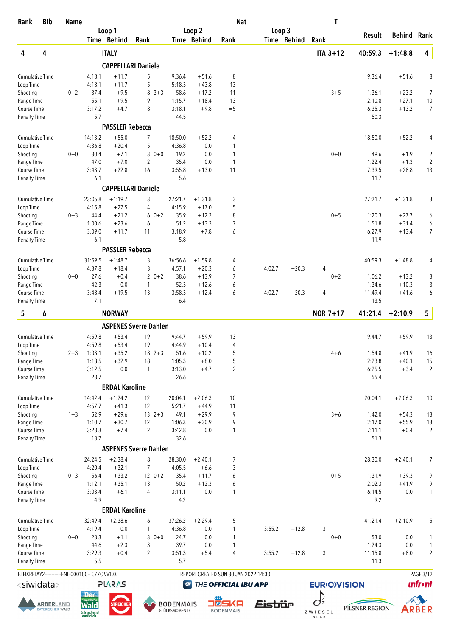| Rank                               | <b>Bib</b>                                   | <b>Name</b> |                                                                     |                        |                                |                                   |                       | <b>Nat</b>                           |                       |         | T                             |                  |                    |                                       |
|------------------------------------|----------------------------------------------|-------------|---------------------------------------------------------------------|------------------------|--------------------------------|-----------------------------------|-----------------------|--------------------------------------|-----------------------|---------|-------------------------------|------------------|--------------------|---------------------------------------|
|                                    |                                              |             |                                                                     | Loop 1<br>Time Behind  | Rank                           |                                   | Loop 2<br>Time Behind | Rank                                 | Loop 3<br>Time Behind |         | Rank                          | Result           | <b>Behind</b>      | Rank                                  |
| 4                                  | 4                                            |             |                                                                     | <b>ITALY</b>           |                                |                                   |                       |                                      |                       |         | $ITA 3+12$                    | 40:59.3          | $+1:48.8$          | 4                                     |
|                                    |                                              |             |                                                                     |                        | <b>CAPPELLARI Daniele</b>      |                                   |                       |                                      |                       |         |                               |                  |                    |                                       |
| Cumulative Time                    |                                              |             | 4:18.1                                                              | $+11.7$                | 5                              | 9:36.4                            | $+51.6$               | 8                                    |                       |         |                               | 9:36.4           | $+51.6$            | 8                                     |
| Loop Time                          |                                              |             | 4:18.1                                                              | $+11.7$                | 5                              | 5:18.3                            | $+43.8$               | 13                                   |                       |         |                               |                  |                    |                                       |
| Shooting                           |                                              | $0 + 2$     | 37.4                                                                | $+9.5$                 | 8<br>$3 + 3$                   | 58.6                              | $+17.2$               | 11                                   |                       |         | $3 + 5$                       | 1:36.1           | $+23.2$            | $\overline{7}$                        |
| Range Time                         |                                              |             | 55.1                                                                | $+9.5$                 | 9                              | 1:15.7                            | $+18.4$               | 13                                   |                       |         |                               | 2:10.8           | $+27.1$            | $10$                                  |
| Course Time<br><b>Penalty Time</b> |                                              |             | 3:17.2<br>5.7                                                       | $+4.7$                 | 8                              | 3:18.1<br>44.5                    | $+9.8$                | $=$ 5                                |                       |         |                               | 6:35.3<br>50.3   | $+13.2$            | $\overline{7}$                        |
|                                    |                                              |             |                                                                     | <b>PASSLER Rebecca</b> |                                |                                   |                       |                                      |                       |         |                               |                  |                    |                                       |
| <b>Cumulative Time</b>             |                                              |             | 14:13.2                                                             | $+55.0$                | $\overline{7}$                 | 18:50.0                           | $+52.2$               | 4                                    |                       |         |                               | 18:50.0          | $+52.2$            | 4                                     |
| Loop Time                          |                                              |             | 4:36.8                                                              | $+20.4$                | 5                              | 4:36.8                            | 0.0                   | 1                                    |                       |         |                               |                  |                    |                                       |
| Shooting                           |                                              | $0+0$       | 30.4<br>47.0                                                        | $+7.1$<br>$+7.0$       | 3<br>$0 + 0$<br>$\overline{2}$ | 19.2<br>35.4                      | 0.0<br>0.0            | 1<br>1                               |                       |         | $0 + 0$                       | 49.6<br>1:22.4   | $+1.9$<br>$+1.3$   | $\overline{\mathbf{c}}$<br>$\sqrt{2}$ |
| Range Time<br>Course Time          |                                              |             | 3:43.7                                                              | $+22.8$                | 16                             | 3:55.8                            | $+13.0$               | 11                                   |                       |         |                               | 7:39.5           | $+28.8$            | 13                                    |
| Penalty Time                       |                                              |             | 6.1                                                                 |                        |                                | 5.6                               |                       |                                      |                       |         |                               | 11.7             |                    |                                       |
|                                    |                                              |             |                                                                     |                        | <b>CAPPELLARI Daniele</b>      |                                   |                       |                                      |                       |         |                               |                  |                    |                                       |
| <b>Cumulative Time</b>             |                                              |             | 23:05.8                                                             | $+1:19.7$              | 3                              | 27:21.7                           | $+1:31.8$             | 3                                    |                       |         |                               | 27:21.7          | $+1:31.8$          | 3                                     |
| Loop Time                          |                                              |             | 4:15.8                                                              | $+27.5$                | 4                              | 4:15.9                            | $+17.0$               | 5                                    |                       |         |                               |                  |                    |                                       |
| Shooting                           |                                              | $0 + 3$     | 44.4                                                                | $+21.2$                | $60+2$                         | 35.9                              | $+12.2$               | 8                                    |                       |         | $0 + 5$                       | 1:20.3           | $+27.7$            | 6                                     |
| Range Time                         |                                              |             | 1:00.6                                                              | $+23.6$                | 6                              | 51.2                              | $+13.3$               | 7                                    |                       |         |                               | 1:51.8           | $+31.4$            | 6                                     |
| Course Time<br><b>Penalty Time</b> |                                              |             | 3:09.0<br>6.1                                                       | $+11.7$                | 11                             | 3:18.9<br>5.8                     | $+7.8$                | 6                                    |                       |         |                               | 6:27.9<br>11.9   | $+13.4$            | 7                                     |
|                                    |                                              |             |                                                                     | <b>PASSLER Rebecca</b> |                                |                                   |                       |                                      |                       |         |                               |                  |                    |                                       |
| <b>Cumulative Time</b>             |                                              |             | 31:59.5                                                             | $+1:48.7$              | 3                              | 36:56.6                           | $+1:59.8$             | 4                                    |                       |         |                               | 40:59.3          | $+1:48.8$          | 4                                     |
| Loop Time                          |                                              |             | 4:37.8                                                              | $+18.4$                | 3                              | 4:57.1                            | $+20.3$               | 6                                    | 4:02.7                | $+20.3$ | 4                             |                  |                    |                                       |
| Shooting                           |                                              | $0+0$       | 27.6                                                                | $+0.4$                 | $20+2$                         | 38.6                              | $+13.9$               | 7                                    |                       |         | $0 + 2$                       | 1:06.2           | $+13.2$            | 3                                     |
| Range Time                         |                                              |             | 42.3                                                                | 0.0                    | 1                              | 52.3                              | $+12.6$               | 6                                    |                       |         |                               | 1:34.6           | $+10.3$            | 3                                     |
| Course Time                        |                                              |             | 3:48.4                                                              | $+19.5$                | 13                             | 3:58.3                            | $+12.4$               | 6                                    | 4:02.7                | $+20.3$ | $\overline{4}$                | 11:49.4          | $+41.6$            | 6                                     |
| <b>Penalty Time</b>                |                                              |             | 7.1                                                                 |                        |                                | 6.4                               |                       |                                      |                       |         |                               | 13.5             |                    |                                       |
| 5                                  | 6                                            |             |                                                                     | <b>NORWAY</b>          |                                |                                   |                       |                                      |                       |         | <b>NOR 7+17</b>               | 41:21.4          | $+2:10.9$          | $5\phantom{.0}$                       |
|                                    |                                              |             |                                                                     |                        | <b>ASPENES Sverre Dahlen</b>   |                                   |                       |                                      |                       |         |                               |                  |                    |                                       |
| <b>Cumulative Time</b>             |                                              |             | 4:59.8                                                              | $+53.4$                | 19                             | 9:44.7                            | $+59.9$               | 13                                   |                       |         |                               | 9:44.7           | $+59.9$            | 13                                    |
| Loop Time                          |                                              |             | 4:59.8                                                              | $+53.4$                | 19                             | 4:44.9                            | $+10.4$               | 4                                    |                       |         |                               |                  |                    |                                       |
| Shooting<br>Range Time             |                                              | $2 + 3$     | 1:03.1<br>1:18.5                                                    | $+35.2$<br>$+32.9$     | $18 \t2+3$<br>18               | 51.6<br>1:05.3                    | $+10.2$<br>$+8.0$     | 5<br>5                               |                       |         | $4 + 6$                       | 1:54.8<br>2:23.8 | $+41.9$<br>$+40.1$ | 16<br>15                              |
| Course Time                        |                                              |             | 3:12.5                                                              | 0.0                    | $\mathbf{1}$                   | 3:13.0                            | $+4.7$                | $\overline{2}$                       |                       |         |                               | 6:25.5           | $+3.4$             | $\overline{2}$                        |
| Penalty Time                       |                                              |             | 28.7                                                                |                        |                                | 26.6                              |                       |                                      |                       |         |                               | 55.4             |                    |                                       |
|                                    |                                              |             |                                                                     | <b>ERDAL Karoline</b>  |                                |                                   |                       |                                      |                       |         |                               |                  |                    |                                       |
| <b>Cumulative Time</b>             |                                              |             | 14:42.4                                                             | $+1:24.2$              | 12                             | 20:04.1                           | $+2:06.3$             | 10                                   |                       |         |                               | 20:04.1          | $+2:06.3$          | 10                                    |
| Loop Time                          |                                              |             | 4:57.7                                                              | $+41.3$                | 12                             | 5:21.7                            | $+44.9$               | 11                                   |                       |         |                               |                  |                    |                                       |
| Shooting                           |                                              | $1 + 3$     | 52.9                                                                | $+29.6$                | $13 \t2+3$                     | 49.1                              | $+29.9$               | 9                                    |                       |         | $3 + 6$                       | 1:42.0           | $+54.3$            | 13                                    |
| Range Time                         |                                              |             | 1:10.7                                                              | $+30.7$                | 12                             | 1:06.3                            | $+30.9$               | 9                                    |                       |         |                               | 2:17.0           | $+55.9$            | 13                                    |
| Course Time<br><b>Penalty Time</b> |                                              |             | 3:28.3<br>18.7                                                      | $+7.4$                 | $\overline{2}$                 | 3:42.8<br>32.6                    | 0.0                   | 1                                    |                       |         |                               | 7:11.1<br>51.3   | $+0.4$             | $\overline{2}$                        |
|                                    |                                              |             |                                                                     |                        | <b>ASPENES Sverre Dahlen</b>   |                                   |                       |                                      |                       |         |                               |                  |                    |                                       |
| <b>Cumulative Time</b>             |                                              |             | 24:24.5                                                             | $+2:38.4$              | 8                              | 28:30.0                           | $+2:40.1$             | 7                                    |                       |         |                               | 28:30.0          | $+2:40.1$          | 7                                     |
| Loop Time                          |                                              |             | 4:20.4                                                              | $+32.1$                | 7                              | 4:05.5                            | $+6.6$                | 3                                    |                       |         |                               |                  |                    |                                       |
| Shooting                           |                                              | $0 + 3$     | 56.4                                                                | $+33.2$                | $120+2$                        | 35.4                              | $+11.7$               | 6                                    |                       |         | $0 + 5$                       | 1:31.9           | $+39.3$            | 9                                     |
| Range Time                         |                                              |             | 1:12.1                                                              | $+35.1$                | 13                             | 50.2                              | $+12.3$               | 6                                    |                       |         |                               | 2:02.3           | $+41.9$            | 9                                     |
| Course Time<br><b>Penalty Time</b> |                                              |             | 3:03.4<br>4.9                                                       | $+6.1$                 | $\overline{4}$                 | 3:11.1<br>4.2                     | 0.0                   | 1                                    |                       |         |                               | 6:14.5<br>9.2    | $0.0\,$            | $\mathbf{1}$                          |
|                                    |                                              |             |                                                                     | <b>ERDAL Karoline</b>  |                                |                                   |                       |                                      |                       |         |                               |                  |                    |                                       |
| Cumulative Time                    |                                              |             | 32:49.4                                                             | $+2:38.6$              | 6                              | 37:26.2                           | $+2:29.4$             | 5                                    |                       |         |                               | 41:21.4          | $+2:10.9$          | 5                                     |
| Loop Time                          |                                              |             | 4:19.4                                                              | $0.0\,$                | 1                              | 4:36.8                            | 0.0                   | 1                                    | 3:55.2                | $+12.8$ | 3                             |                  |                    |                                       |
| Shooting                           |                                              | $0 + 0$     | 28.3                                                                | $+1.1$                 | $30+0$                         | 24.7                              | 0.0                   | 1                                    |                       |         | $0 + 0$                       | 53.0             | 0.0                | 1                                     |
| Range Time                         |                                              |             | 44.6                                                                | $+2.3$                 | 3                              | 39.7                              | 0.0                   | 1                                    |                       |         |                               | 1:24.3           | $0.0\,$            | 1                                     |
| Course Time<br>Penalty Time        |                                              |             | 3:29.3<br>5.5                                                       | $+0.4$                 | 2                              | 3:51.3<br>5.7                     | $+5.4$                | 4                                    | 3:55.2                | $+12.8$ | 3                             | 11:15.8<br>11.3  | $+8.0$             | $\overline{c}$                        |
|                                    |                                              |             | BTHXRELAY2------------FNL-000100-- C77C Vv1.0.                      |                        |                                |                                   |                       | REPORT CREATED SUN 30 JAN 2022 14:30 |                       |         |                               |                  |                    | PAGE 3/12                             |
| $<$ siwidata $>$                   |                                              |             |                                                                     | <b>SV2V7</b>           |                                | $\circledcirc$                    |                       | THE OFFICIAL IBU APP                 |                       |         | <b>EURIO)VISION</b>           |                  |                    | <b>unfr</b> •nt                       |
|                                    |                                              |             | <b>Der</b>                                                          |                        |                                |                                   |                       |                                      |                       |         |                               |                  |                    |                                       |
|                                    | <b>ARBER</b> LAND<br><b>BAYERISCHER WALD</b> |             | <b>Rayerisch</b><br><b>Wald</b><br><b>Erfrischend</b><br>natürlich. | <b>STREICHEF</b>       |                                | <b>BODENMAIS</b><br>GLÜCKSMOMENTE |                       | 5KA<br>∎⊠<br><b>BODENMAIS</b>        | <i><b>Eistiür</b></i> |         | $\sigma^2$<br>ZWIESEL<br>GLAS | PILSNER REGION   |                    | ARBER                                 |





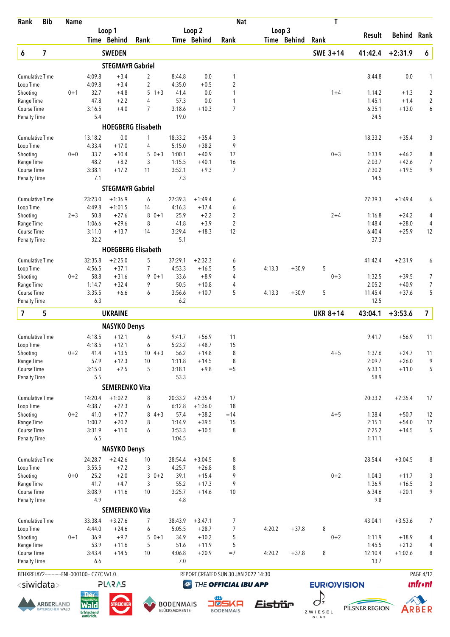| Rank                                | <b>Bib</b>              | <b>Name</b> |                                                |                         |                           |                   |                      | <b>Nat</b>                           |        |             | Τ                  |                  |                    |                         |
|-------------------------------------|-------------------------|-------------|------------------------------------------------|-------------------------|---------------------------|-------------------|----------------------|--------------------------------------|--------|-------------|--------------------|------------------|--------------------|-------------------------|
|                                     |                         |             |                                                | Loop 1                  |                           |                   | Loop 2               |                                      | Loop 3 |             |                    | <b>Result</b>    | <b>Behind</b>      | Rank                    |
|                                     |                         |             |                                                | Time Behind             | Rank                      |                   | Time Behind          | Rank                                 |        | Time Behind | Rank               |                  |                    |                         |
| 6                                   | $\overline{\mathbf{z}}$ |             |                                                | <b>SWEDEN</b>           |                           |                   |                      |                                      |        |             | SWE 3+14           | 41:42.4          | $+2:31.9$          | 6                       |
|                                     |                         |             |                                                | <b>STEGMAYR Gabriel</b> |                           |                   |                      |                                      |        |             |                    |                  |                    |                         |
| Cumulative Time                     |                         |             | 4:09.8                                         | $+3.4$                  | 2                         | 8:44.8            | 0.0                  | 1                                    |        |             |                    | 8:44.8           | 0.0                | $\mathbf{1}$            |
| Loop Time                           |                         |             | 4:09.8                                         | $+3.4$                  | $\overline{2}$            | 4:35.0            | $+0.5$               | $\overline{2}$                       |        |             |                    |                  |                    |                         |
| Shooting                            |                         | $0 + 1$     | 32.7                                           | $+4.8$                  | 5<br>$1 + 3$              | 41.4              | 0.0                  | 1                                    |        |             | $1 + 4$            | 1:14.2           | $+1.3$             | $\overline{c}$          |
| Range Time                          |                         |             | 47.8                                           | $+2.2$<br>$+4.0$        | 4<br>$\overline{7}$       | 57.3<br>3:18.6    | 0.0<br>$+10.3$       | $\mathbf{1}$<br>$\overline{7}$       |        |             |                    | 1:45.1<br>6:35.1 | $+1.4$<br>$+13.0$  | $\overline{2}$          |
| Course Time<br><b>Penalty Time</b>  |                         |             | 3:16.5<br>5.4                                  |                         |                           | 19.0              |                      |                                      |        |             |                    | 24.5             |                    | 6                       |
|                                     |                         |             |                                                |                         | <b>HOEGBERG Elisabeth</b> |                   |                      |                                      |        |             |                    |                  |                    |                         |
|                                     |                         |             | 13:18.2                                        | 0.0                     |                           | 18:33.2           |                      |                                      |        |             |                    |                  | $+35.4$            |                         |
| <b>Cumulative Time</b><br>Loop Time |                         |             | 4:33.4                                         | $+17.0$                 | 1<br>4                    | 5:15.0            | $+35.4$<br>$+38.2$   | 3<br>9                               |        |             |                    | 18:33.2          |                    | 3                       |
| Shooting                            |                         | $0+0$       | 33.7                                           | $+10.4$                 | $50+3$                    | 1:00.1            | $+40.9$              | 17                                   |        |             | $0 + 3$            | 1:33.9           | $+46.2$            | 8                       |
| Range Time                          |                         |             | 48.2                                           | $+8.2$                  | 3                         | 1:15.5            | $+40.1$              | 16                                   |        |             |                    | 2:03.7           | $+42.6$            | $\overline{7}$          |
| Course Time                         |                         |             | 3:38.1                                         | $+17.2$                 | 11                        | 3:52.1            | $+9.3$               | $\overline{7}$                       |        |             |                    | 7:30.2           | $+19.5$            | 9                       |
| Penalty Time                        |                         |             | 7.1                                            |                         |                           | 7.3               |                      |                                      |        |             |                    | 14.5             |                    |                         |
|                                     |                         |             |                                                | <b>STEGMAYR Gabriel</b> |                           |                   |                      |                                      |        |             |                    |                  |                    |                         |
| <b>Cumulative Time</b>              |                         |             | 23:23.0                                        | $+1:36.9$               | 6                         | 27:39.3           | $+1:49.4$            | 6                                    |        |             |                    | 27:39.3          | $+1:49.4$          | 6                       |
| Loop Time                           |                         |             | 4:49.8                                         | $+1:01.5$               | 14                        | 4:16.3            | $+17.4$              | 6                                    |        |             |                    |                  |                    |                         |
| Shooting                            |                         | $2 + 3$     | 50.8                                           | $+27.6$                 | $80+1$                    | 25.9              | $+2.2$               | 2                                    |        |             | $2 + 4$            | 1:16.8           | $+24.2$            | 4                       |
| Range Time                          |                         |             | 1:06.6<br>3:11.0                               | $+29.6$<br>$+13.7$      | 8                         | 41.8<br>3:29.4    | $+3.9$<br>$+18.3$    | $\overline{2}$<br>12                 |        |             |                    | 1:48.4<br>6:40.4 | $+28.0$<br>$+25.9$ | 4                       |
| Course Time<br><b>Penalty Time</b>  |                         |             | 32.2                                           |                         | 14                        | 5.1               |                      |                                      |        |             |                    | 37.3             |                    | 12                      |
|                                     |                         |             |                                                |                         | <b>HOEGBERG Elisabeth</b> |                   |                      |                                      |        |             |                    |                  |                    |                         |
|                                     |                         |             |                                                | $+2:25.0$               | 5                         |                   |                      |                                      |        |             |                    |                  | $+2:31.9$          |                         |
| <b>Cumulative Time</b><br>Loop Time |                         |             | 32:35.8<br>4:56.5                              | $+37.1$                 | $\overline{7}$            | 37:29.1<br>4:53.3 | $+2:32.3$<br>$+16.5$ | 6<br>5                               | 4:13.3 | $+30.9$     | 5                  | 41:42.4          |                    | 6                       |
| Shooting                            |                         | $0 + 2$     | 58.8                                           | $+31.6$                 | $90+1$                    | 33.6              | $+8.9$               | 4                                    |        |             | $0 + 3$            | 1:32.5           | $+39.5$            | 7                       |
| Range Time                          |                         |             | 1:14.7                                         | $+32.4$                 | 9                         | 50.5              | $+10.8$              | 4                                    |        |             |                    | 2:05.2           | $+40.9$            | 7                       |
| Course Time                         |                         |             | 3:35.5                                         | $+6.6$                  | 6                         | 3:56.6            | $+10.7$              | 5                                    | 4:13.3 | $+30.9$     | 5                  | 11:45.4          | $+37.6$            | 5                       |
| Penalty Time                        |                         |             | 6.3                                            |                         |                           | 6.2               |                      |                                      |        |             |                    | 12.5             |                    |                         |
| 7                                   | 5                       |             |                                                | <b>UKRAINE</b>          |                           |                   |                      |                                      |        |             | <b>UKR 8+14</b>    | 43:04.1          | $+3:53.6$          | $\overline{\mathbf{z}}$ |
|                                     |                         |             |                                                | <b>NASYKO Denys</b>     |                           |                   |                      |                                      |        |             |                    |                  |                    |                         |
| <b>Cumulative Time</b>              |                         |             | 4:18.5                                         | $+12.1$                 | 6                         | 9:41.7            | $+56.9$              | 11                                   |        |             |                    | 9:41.7           | $+56.9$            | 11                      |
| Loop Time                           |                         |             | 4:18.5                                         | $+12.1$                 | 6                         | 5:23.2            | $+48.7$              | 15                                   |        |             |                    |                  |                    |                         |
| Shooting                            |                         | $0 + 2$     | 41.4                                           | $+13.5$                 | $10 \t 4+3$               | 56.2              | $+14.8$              | 8                                    |        |             | $4 + 5$            | 1:37.6           | $+24.7$            | 11                      |
| Range Time                          |                         |             | 57.9                                           | $+12.3$                 | 10                        | 1:11.8            | $+14.5$              | 8                                    |        |             |                    | 2:09.7           | $+26.0$            | 9                       |
| Course Time                         |                         |             | 3:15.0                                         | $+2.5$                  | 5                         | 3:18.1            | $+9.8$               | $=$ 5                                |        |             |                    | 6:33.1           | $+11.0$            | 5                       |
| Penalty Time                        |                         |             | 5.5                                            |                         |                           | 53.3              |                      |                                      |        |             |                    | 58.9             |                    |                         |
|                                     |                         |             |                                                | <b>SEMERENKO Vita</b>   |                           |                   |                      |                                      |        |             |                    |                  |                    |                         |
| <b>Cumulative Time</b>              |                         |             | 14:20.4                                        | $+1:02.2$               | 8                         | 20:33.2           | $+2:35.4$            | 17                                   |        |             |                    | 20:33.2          | $+2:35.4$          | 17                      |
| Loop Time<br>Shooting               |                         | $0 + 2$     | 4:38.7<br>41.0                                 | $+22.3$<br>$+17.7$      | 6<br>$84+3$               | 6:12.8<br>57.4    | $+1:36.0$<br>$+38.2$ | 18<br>$=14$                          |        |             | $4 + 5$            | 1:38.4           | $+50.7$            | 12                      |
| Range Time                          |                         |             | 1:00.2                                         | $+20.2$                 | 8                         | 1:14.9            | $+39.5$              | 15                                   |        |             |                    | 2:15.1           | $+54.0$            | 12                      |
| Course Time                         |                         |             | 3:31.9                                         | $+11.0$                 | 6                         | 3:53.3            | $+10.5$              | 8                                    |        |             |                    | 7:25.2           | $+14.5$            | 5                       |
| <b>Penalty Time</b>                 |                         |             | 6.5                                            |                         |                           | 1:04.5            |                      |                                      |        |             |                    | 1:11.1           |                    |                         |
|                                     |                         |             |                                                | <b>NASYKO Denys</b>     |                           |                   |                      |                                      |        |             |                    |                  |                    |                         |
| Cumulative Time                     |                         |             | 24:28.7                                        | $+2:42.6$               | $10$                      | 28:54.4           | $+3:04.5$            | 8                                    |        |             |                    | 28:54.4          | $+3:04.5$          | 8                       |
| Loop Time                           |                         |             | 3:55.5                                         | $+7.2$                  | 3                         | 4:25.7            | $+26.8$              | 8                                    |        |             |                    |                  |                    |                         |
| Shooting                            |                         | $0 + 0$     | 25.2                                           | $+2.0$                  | $30+2$                    | 39.1              | $+15.4$              | 9                                    |        |             | $0 + 2$            | 1:04.3           | $+11.7$            | 3                       |
| Range Time<br>Course Time           |                         |             | 41.7<br>3:08.9                                 | $+4.7$<br>$+11.6$       | 3<br>10                   | 55.2<br>3:25.7    | $+17.3$<br>$+14.6$   | 9<br>10                              |        |             |                    | 1:36.9<br>6:34.6 | $+16.5$<br>$+20.1$ | 3<br>9                  |
| <b>Penalty Time</b>                 |                         |             | 4.9                                            |                         |                           | 4.8               |                      |                                      |        |             |                    | 9.8              |                    |                         |
|                                     |                         |             |                                                | <b>SEMERENKO Vita</b>   |                           |                   |                      |                                      |        |             |                    |                  |                    |                         |
| Cumulative Time                     |                         |             | 33:38.4                                        | $+3:27.6$               | 7                         | 38:43.9           | $+3:47.1$            | 7                                    |        |             |                    | 43:04.1          | $+3:53.6$          | $\overline{7}$          |
| Loop Time                           |                         |             | 4:44.0                                         | $+24.6$                 | 6                         | 5:05.5            | $+28.7$              | $\overline{7}$                       | 4:20.2 | $+37.8$     | 8                  |                  |                    |                         |
| Shooting                            |                         | $0 + 1$     | 36.9                                           | $+9.7$                  | $50+1$                    | 34.9              | $+10.2$              | 5                                    |        |             | $0 + 2$            | 1:11.9           | $+18.9$            | 4                       |
| Range Time                          |                         |             | 53.9                                           | $+11.6$                 | 5                         | 51.6              | $+11.9$              | 5                                    |        |             |                    | 1:45.5           | $+21.2$            | 4                       |
| Course Time                         |                         |             | 3:43.4                                         | $+14.5$                 | 10                        | 4:06.8            | $+20.9$              | $=7$                                 | 4:20.2 | $+37.8$     | 8                  | 12:10.4          | $+1:02.6$          | 8                       |
| <b>Penalty Time</b>                 |                         |             | 6.6                                            |                         |                           | 7.0               |                      |                                      |        |             |                    | 13.7             |                    |                         |
|                                     |                         |             | BTHXRELAY2------------FNL-000100-- C77C Vv1.0. |                         |                           |                   |                      | REPORT CREATED SUN 30 JAN 2022 14:30 |        |             |                    |                  |                    | <b>PAGE 4/12</b>        |
| $<$ siwidata $>$                    |                         |             |                                                | <b>PLARAS</b>           |                           | $\bigcirc$        |                      | THE OFFICIAL IBU APP                 |        |             | <b>EURIOVISION</b> |                  |                    | <b>unfront</b>          |





BODENMAIS

**OB**<br>D**ESKA** 





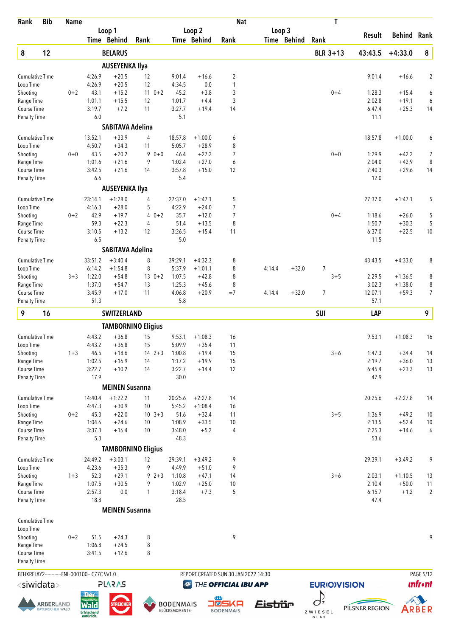| Rank                         | <b>Bib</b>                                 | <b>Name</b> |                                                                     |                                  |                           |                                   |                              | <b>Nat</b>                           |         |             | Τ                             |                  |                        |                                     |
|------------------------------|--------------------------------------------|-------------|---------------------------------------------------------------------|----------------------------------|---------------------------|-----------------------------------|------------------------------|--------------------------------------|---------|-------------|-------------------------------|------------------|------------------------|-------------------------------------|
|                              |                                            |             |                                                                     | Loop 1<br>Time Behind            | Rank                      |                                   | Loop 2<br><b>Time Behind</b> | Rank                                 | Loop 3  | Time Behind | Rank                          | Result           | Behind                 | Rank                                |
|                              | 12                                         |             |                                                                     | <b>BELARUS</b>                   |                           |                                   |                              |                                      |         |             | <b>BLR 3+13</b>               | 43:43.5          | $+4:33.0$              | ${\bf 8}$                           |
| 8                            |                                            |             |                                                                     |                                  |                           |                                   |                              |                                      |         |             |                               |                  |                        |                                     |
|                              |                                            |             |                                                                     | <b>AUSEYENKA Ilya</b><br>$+20.5$ |                           |                                   |                              |                                      |         |             |                               |                  |                        |                                     |
| Cumulative Time<br>Loop Time |                                            |             | 4:26.9<br>4:26.9                                                    | $+20.5$                          | 12<br>12                  | 9:01.4<br>4:34.5                  | $+16.6$<br>0.0               | $\overline{c}$<br>1                  |         |             |                               | 9:01.4           | $+16.6$                | $\overline{2}$                      |
| Shooting                     |                                            | $0 + 2$     | 43.1                                                                | $+15.2$                          | $11 \t 0+2$               | 45.2                              | $+3.8$                       | 3                                    |         |             | $0 + 4$                       | 1:28.3           | $+15.4$                | 6                                   |
| Range Time                   |                                            |             | 1:01.1                                                              | $+15.5$                          | 12                        | 1:01.7                            | $+4.4$                       | 3                                    |         |             |                               | 2:02.8           | $+19.1$                | 6                                   |
| Course Time<br>Penalty Time  |                                            |             | 3:19.7<br>6.0                                                       | $+7.2$                           | 11                        | 3:27.7<br>5.1                     | $+19.4$                      | 14                                   |         |             |                               | 6:47.4<br>11.1   | $+25.3$                | 14                                  |
|                              |                                            |             |                                                                     | <b>SABITAVA Adelina</b>          |                           |                                   |                              |                                      |         |             |                               |                  |                        |                                     |
| Cumulative Time              |                                            |             | 13:52.1                                                             | $+33.9$                          | 4                         | 18:57.8                           | $+1:00.0$                    | 6                                    |         |             |                               | 18:57.8          | $+1:00.0$              | 6                                   |
| Loop Time                    |                                            |             | 4:50.7                                                              | $+34.3$                          | 11                        | 5:05.7                            | $+28.9$                      | 8                                    |         |             |                               |                  |                        |                                     |
| Shooting<br>Range Time       |                                            | $0 + 0$     | 43.5<br>1:01.6                                                      | $+20.2$<br>$+21.6$               | 9<br>$0 + 0$<br>9         | 46.4<br>1:02.4                    | $+27.2$<br>$+27.0$           | $\overline{7}$<br>6                  |         |             | $0 + 0$                       | 1:29.9<br>2:04.0 | $+42.2$<br>$+42.9$     | 7<br>8                              |
| Course Time                  |                                            |             | 3:42.5                                                              | $+21.6$                          | 14                        | 3:57.8                            | $+15.0$                      | 12                                   |         |             |                               | 7:40.3           | $+29.6$                | 14                                  |
| <b>Penalty Time</b>          |                                            |             | 6.6                                                                 |                                  |                           | 5.4                               |                              |                                      |         |             |                               | 12.0             |                        |                                     |
|                              |                                            |             |                                                                     | <b>AUSEYENKA Ilya</b>            |                           |                                   |                              |                                      |         |             |                               |                  |                        |                                     |
| <b>Cumulative Time</b>       |                                            |             | 23:14.1                                                             | $+1:28.0$                        | 4                         | 27:37.0                           | $+1:47.1$                    | 5                                    |         |             |                               | 27:37.0          | $+1:47.1$              | 5                                   |
| Loop Time                    |                                            |             | 4:16.3                                                              | $+28.0$                          | 5                         | 4:22.9                            | $+24.0$                      | $\overline{7}$                       |         |             |                               |                  |                        |                                     |
| Shooting<br>Range Time       |                                            | $0 + 2$     | 42.9<br>59.3                                                        | $+19.7$<br>$+22.3$               | $40+2$<br>4               | 35.7<br>51.4                      | $+12.0$<br>$+13.5$           | 7<br>8                               |         |             | $0 + 4$                       | 1:18.6<br>1:50.7 | $+26.0$<br>$+30.3$     | 5<br>5                              |
| Course Time                  |                                            |             | 3:10.5                                                              | $+13.2$                          | 12                        | 3:26.5                            | $+15.4$                      | 11                                   |         |             |                               | 6:37.0           | $+22.5$                | 10                                  |
| <b>Penalty Time</b>          |                                            |             | 6.5                                                                 |                                  |                           | 5.0                               |                              |                                      |         |             |                               | 11.5             |                        |                                     |
|                              |                                            |             |                                                                     | <b>SABITAVA Adelina</b>          |                           |                                   |                              |                                      |         |             |                               |                  |                        |                                     |
| <b>Cumulative Time</b>       |                                            |             | 33:51.2                                                             | $+3:40.4$                        | 8                         | 39:29.1                           | $+4:32.3$                    | 8                                    |         |             |                               | 43:43.5          | $+4:33.0$              | 8                                   |
| Loop Time                    |                                            |             | 6:14.2                                                              | $+1:54.8$                        | 8                         | 5:37.9                            | $+1:01.1$                    | 8                                    | 4:14.4  | $+32.0$     | 7                             |                  |                        |                                     |
| Shooting<br>Range Time       |                                            | $3 + 3$     | 1:22.0<br>1:37.0                                                    | $+54.8$<br>$+54.7$               | $13 \t 0+2$<br>13         | 1:07.5<br>1:25.3                  | $+42.8$<br>$+45.6$           | 8<br>8                               |         |             | $3 + 5$                       | 2:29.5<br>3:02.3 | $+1:36.5$<br>$+1:38.0$ | 8<br>8                              |
| Course Time                  |                                            |             | 3:45.9                                                              | $+17.0$                          | 11                        | 4:06.8                            | $+20.9$                      | $=7$                                 | 4:14.4  | $+32.0$     | 7                             | 12:07.1          | $+59.3$                | $\overline{7}$                      |
| <b>Penalty Time</b>          |                                            |             | 51.3                                                                |                                  |                           | 5.8                               |                              |                                      |         |             |                               | 57.1             |                        |                                     |
| 9                            | 16                                         |             |                                                                     | <b>SWITZERLAND</b>               |                           |                                   |                              |                                      |         |             | <b>SUI</b>                    | LAP              |                        | 9                                   |
|                              |                                            |             |                                                                     |                                  | <b>TAMBORNINO Eligius</b> |                                   |                              |                                      |         |             |                               |                  |                        |                                     |
| <b>Cumulative Time</b>       |                                            |             | 4:43.2                                                              | $+36.8$                          | 15                        | 9:53.1                            | $+1:08.3$                    | 16                                   |         |             |                               | 9:53.1           | $+1:08.3$              | 16                                  |
| Loop Time                    |                                            |             | 4:43.2                                                              | $+36.8$                          | 15                        | 5:09.9                            | $+35.4$                      | 11                                   |         |             |                               |                  |                        |                                     |
| Shooting<br>Range Time       |                                            | $1 + 3$     | 46.5<br>1:02.5                                                      | $+18.6$<br>$+16.9$               | $14 \t2+3$<br>14          | 1:00.8<br>1:17.2                  | $+19.4$<br>$+19.9$           | 15<br>15                             |         |             | $3 + 6$                       | 1:47.3<br>2:19.7 | $+34.4$<br>$+36.0$     | 14<br>13                            |
| Course Time                  |                                            |             | 3:22.7                                                              | $+10.2$                          | 14                        | 3:22.7                            | $+14.4$                      | 12                                   |         |             |                               | 6:45.4           | $+23.3$                | 13                                  |
| Penalty Time                 |                                            |             | 17.9                                                                |                                  |                           | 30.0                              |                              |                                      |         |             |                               | 47.9             |                        |                                     |
|                              |                                            |             |                                                                     | <b>MEINEN Susanna</b>            |                           |                                   |                              |                                      |         |             |                               |                  |                        |                                     |
| Cumulative Time              |                                            |             | 14:40.4                                                             | $+1:22.2$                        | 11                        | 20:25.6                           | $+2:27.8$                    | 14                                   |         |             |                               | 20:25.6          | $+2:27.8$              | 14                                  |
| Loop Time                    |                                            |             | 4:47.3                                                              | $+30.9$                          | 10                        | 5:45.2                            | $+1:08.4$                    | 16                                   |         |             |                               |                  |                        |                                     |
| Shooting<br>Range Time       |                                            | $0 + 2$     | 45.3<br>1:04.6                                                      | $+22.0$<br>$+24.6$               | $10 \t3+3$<br>10          | 51.6<br>1:08.9                    | $+32.4$<br>$+33.5$           | 11<br>10                             |         |             | $3 + 5$                       | 1:36.9<br>2:13.5 | $+49.2$<br>$+52.4$     | 10<br>10                            |
| Course Time                  |                                            |             | 3:37.3                                                              | $+16.4$                          | 10                        | 3:48.0                            | $+5.2$                       | 4                                    |         |             |                               | 7:25.3           | $+14.6$                | 6                                   |
| Penalty Time                 |                                            |             | 5.3                                                                 |                                  |                           | 48.3                              |                              |                                      |         |             |                               | 53.6             |                        |                                     |
|                              |                                            |             |                                                                     |                                  | <b>TAMBORNINO Eligius</b> |                                   |                              |                                      |         |             |                               |                  |                        |                                     |
| <b>Cumulative Time</b>       |                                            |             | 24:49.2                                                             | $+3:03.1$                        | 12                        | 29:39.1                           | $+3:49.2$                    | 9                                    |         |             |                               | 29:39.1          | $+3:49.2$              | 9                                   |
| Loop Time                    |                                            |             | 4:23.6                                                              | $+35.3$                          | 9                         | 4:49.9                            | $+51.0$                      | 9                                    |         |             |                               |                  |                        |                                     |
| Shooting<br>Range Time       |                                            | $1 + 3$     | 52.3<br>1:07.5                                                      | $+29.1$<br>$+30.5$               | $9 \t2+3$<br>9            | 1:10.8<br>1:02.9                  | $+47.1$<br>$+25.0$           | 14<br>10                             |         |             | $3 + 6$                       | 2:03.1<br>2:10.4 | $+1:10.5$<br>$+50.0$   | 13<br>11                            |
| Course Time                  |                                            |             | 2:57.3                                                              | 0.0                              | $\mathbf{1}$              | 3:18.4                            | $+7.3$                       | 5                                    |         |             |                               | 6:15.7           | $+1.2$                 | $\overline{2}$                      |
| <b>Penalty Time</b>          |                                            |             | 18.8                                                                |                                  |                           | 28.5                              |                              |                                      |         |             |                               | 47.4             |                        |                                     |
|                              |                                            |             |                                                                     | <b>MEINEN Susanna</b>            |                           |                                   |                              |                                      |         |             |                               |                  |                        |                                     |
| Cumulative Time<br>Loop Time |                                            |             |                                                                     |                                  |                           |                                   |                              |                                      |         |             |                               |                  |                        |                                     |
| Shooting                     |                                            | $0 + 2$     | 51.5                                                                | $+24.3$                          | 8                         |                                   |                              | 9                                    |         |             |                               |                  |                        | 9                                   |
| Range Time                   |                                            |             | 1:06.8                                                              | $+24.5$                          | 8                         |                                   |                              |                                      |         |             |                               |                  |                        |                                     |
| Course Time                  |                                            |             | 3:41.5                                                              | $+12.6$                          | 8                         |                                   |                              |                                      |         |             |                               |                  |                        |                                     |
| <b>Penalty Time</b>          |                                            |             |                                                                     |                                  |                           |                                   |                              |                                      |         |             |                               |                  |                        |                                     |
|                              |                                            |             | BTHXRELAY2------------FNL-000100-- C77C Vv1.0.                      |                                  |                           | $\circledcirc$                    |                              | REPORT CREATED SUN 30 JAN 2022 14:30 |         |             |                               |                  |                        | <b>PAGE 5/12</b><br><b>unfr</b> •nt |
| <siwidata></siwidata>        |                                            |             | <b>Der</b>                                                          | <b>PLARAS</b>                    |                           |                                   |                              | THE OFFICIAL IBU APP                 |         |             | <b>EURIO)VISION</b>           |                  |                        |                                     |
|                              | <b>RBERLAND</b><br><b>BAYERISCHER WALD</b> |             | <b>Rayerisch</b><br><b>Wald</b><br><b>Erfrischend</b><br>natürlich. | <b>STREICHEI</b>                 |                           | <b>BODENMAIS</b><br>GLÜCKSMOMENTE |                              | 5KA<br>18<br><b>BODENMAIS</b>        | Eistiür |             | $\sigma^2$<br>ZWIESEL<br>GLAS | PILSNER REGION   |                        | ARBER                               |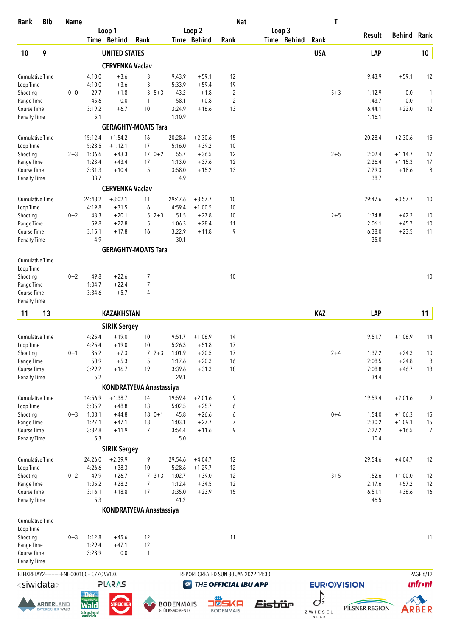| Rank                                | <b>Bib</b>                                   | <b>Name</b> |                                                |                        |                                |                   |                      | <b>Nat</b>                           |             | T                        |                  |                      |                      |
|-------------------------------------|----------------------------------------------|-------------|------------------------------------------------|------------------------|--------------------------------|-------------------|----------------------|--------------------------------------|-------------|--------------------------|------------------|----------------------|----------------------|
|                                     |                                              |             |                                                | Loop 1                 |                                |                   | Loop 2               |                                      | Loop 3      |                          | Result           | <b>Behind Rank</b>   |                      |
|                                     |                                              |             |                                                | Time Behind            | Rank                           |                   | Time Behind          | Rank                                 | Time Behind | Rank                     |                  |                      |                      |
| 10                                  | 9                                            |             |                                                | <b>UNITED STATES</b>   |                                |                   |                      |                                      |             | <b>USA</b>               | LAP              |                      | 10 <sub>1</sub>      |
|                                     |                                              |             |                                                | <b>CERVENKA Vaclav</b> |                                |                   |                      |                                      |             |                          |                  |                      |                      |
| <b>Cumulative Time</b><br>Loop Time |                                              |             | 4:10.0<br>4:10.0                               | $+3.6$<br>$+3.6$       | 3<br>3                         | 9:43.9<br>5:33.9  | $+59.1$<br>$+59.4$   | 12<br>19                             |             |                          | 9:43.9           | $+59.1$              | 12                   |
| Shooting                            |                                              | $0 + 0$     | 29.7                                           | $+1.8$                 | 3<br>$5 + 3$                   | 43.2              | $+1.8$               | $\overline{2}$                       |             | $5 + 3$                  | 1:12.9           | 0.0                  | 1                    |
| Range Time                          |                                              |             | 45.6                                           | 0.0                    | 1                              | 58.1              | $+0.8$               | $\overline{2}$                       |             |                          | 1:43.7           | 0.0                  | $\mathbf{1}$         |
| Course Time                         |                                              |             | 3:19.2                                         | $+6.7$                 | 10                             | 3:24.9            | $+16.6$              | 13                                   |             |                          | 6:44.1           | $+22.0$              | 12                   |
| <b>Penalty Time</b>                 |                                              |             | 5.1                                            |                        |                                | 1:10.9            |                      |                                      |             |                          | 1:16.1           |                      |                      |
|                                     |                                              |             |                                                |                        | <b>GERAGHTY-MOATS Tara</b>     |                   |                      |                                      |             |                          |                  |                      |                      |
| <b>Cumulative Time</b>              |                                              |             | 15:12.4<br>5:28.5                              | $+1:54.2$<br>$+1:12.1$ | 16<br>17                       | 20:28.4<br>5:16.0 | $+2:30.6$<br>$+39.2$ | 15                                   |             |                          | 20:28.4          | $+2:30.6$            | 15                   |
| Loop Time<br>Shooting               |                                              | $2 + 3$     | 1:06.6                                         | $+43.3$                | $170+2$                        | 55.7              | $+36.5$              | 10<br>12                             |             | $2 + 5$                  | 2:02.4           | $+1:14.7$            | 17                   |
| Range Time                          |                                              |             | 1:23.4                                         | $+43.4$                | 17                             | 1:13.0            | $+37.6$              | 12                                   |             |                          | 2:36.4           | $+1:15.3$            | 17                   |
| Course Time                         |                                              |             | 3:31.3                                         | $+10.4$                | 5                              | 3:58.0            | $+15.2$              | 13                                   |             |                          | 7:29.3           | $+18.6$              | 8                    |
| <b>Penalty Time</b>                 |                                              |             | 33.7                                           |                        |                                | 4.9               |                      |                                      |             |                          | 38.7             |                      |                      |
|                                     |                                              |             |                                                | <b>CERVENKA Vaclav</b> |                                |                   |                      |                                      |             |                          |                  |                      |                      |
| <b>Cumulative Time</b>              |                                              |             | 24:48.2                                        | $+3:02.1$              | 11                             | 29:47.6           | $+3:57.7$            | 10                                   |             |                          | 29:47.6          | $+3:57.7$            | 10                   |
| Loop Time                           |                                              |             | 4:19.8                                         | $+31.5$                | 6                              | 4:59.4            | $+1:00.5$            | 10                                   |             |                          |                  |                      |                      |
| Shooting<br>Range Time              |                                              | $0 + 2$     | 43.3<br>59.8                                   | $+20.1$<br>$+22.8$     | 5<br>$2 + 3$<br>5              | 51.5<br>1:06.3    | $+27.8$<br>$+28.4$   | 10<br>11                             |             | $2 + 5$                  | 1:34.8<br>2:06.1 | $+42.2$<br>$+45.7$   | 10<br>10             |
| Course Time                         |                                              |             | 3:15.1                                         | $+17.8$                | 16                             | 3:22.9            | $+11.8$              | 9                                    |             |                          | 6:38.0           | $+23.5$              | 11                   |
| <b>Penalty Time</b>                 |                                              |             | 4.9                                            |                        |                                | 30.1              |                      |                                      |             |                          | 35.0             |                      |                      |
|                                     |                                              |             |                                                |                        | <b>GERAGHTY-MOATS Tara</b>     |                   |                      |                                      |             |                          |                  |                      |                      |
| <b>Cumulative Time</b>              |                                              |             |                                                |                        |                                |                   |                      |                                      |             |                          |                  |                      |                      |
| Loop Time                           |                                              |             |                                                |                        |                                |                   |                      |                                      |             |                          |                  |                      |                      |
| Shooting                            |                                              | $0 + 2$     | 49.8                                           | $+22.6$                | 7                              |                   |                      | 10                                   |             |                          |                  |                      | 10                   |
| Range Time                          |                                              |             | 1:04.7                                         | $+22.4$                | 7                              |                   |                      |                                      |             |                          |                  |                      |                      |
| Course Time<br><b>Penalty Time</b>  |                                              |             | 3:34.6                                         | $+5.7$                 | 4                              |                   |                      |                                      |             |                          |                  |                      |                      |
|                                     |                                              |             |                                                |                        |                                |                   |                      |                                      |             |                          |                  |                      |                      |
| 11                                  | 13                                           |             |                                                | <b>KAZAKHSTAN</b>      |                                |                   |                      |                                      |             | <b>KAZ</b>               | LAP              |                      | 11                   |
|                                     |                                              |             |                                                | <b>SIRIK Sergey</b>    |                                |                   |                      |                                      |             |                          |                  |                      |                      |
| <b>Cumulative Time</b>              |                                              |             | 4:25.4                                         | $+19.0$                | 10                             | 9:51.7            | $+1:06.9$            | 14                                   |             |                          | 9:51.7           | $+1:06.9$            | 14                   |
| Loop Time                           |                                              |             | 4:25.4<br>35.2                                 | $+19.0$                | 10                             | 5:26.3            | $+51.8$              | 17<br>17                             |             | $2 + 4$                  |                  |                      |                      |
| Shooting<br>Range Time              |                                              | $0 + 1$     | 50.9                                           | $+7.3$<br>$+5.3$       | $72+3$<br>5                    | 1:01.9<br>1:17.6  | $+20.5$<br>$+20.3$   | 16                                   |             |                          | 1:37.2<br>2:08.5 | $+24.3$<br>$+24.8$   | 10<br>8              |
| Course Time                         |                                              |             | 3:29.2                                         | $+16.7$                | 19                             | 3:39.6            | $+31.3$              | 18                                   |             |                          | 7:08.8           | $+46.7$              | 18                   |
| Penalty Time                        |                                              |             | 5.2                                            |                        |                                | 29.1              |                      |                                      |             |                          | 34.4             |                      |                      |
|                                     |                                              |             |                                                |                        | <b>KONDRATYEVA Anastassiya</b> |                   |                      |                                      |             |                          |                  |                      |                      |
| <b>Cumulative Time</b>              |                                              |             | 14:56.9                                        | $+1:38.7$              | 14                             | 19:59.4           | $+2:01.6$            | 9                                    |             |                          | 19:59.4          | $+2:01.6$            | 9                    |
| Loop Time                           |                                              |             | 5:05.2                                         | $+48.8$                | 13                             | 5:02.5            | $+25.7$              | 6                                    |             |                          |                  |                      |                      |
| Shooting                            |                                              | $0 + 3$     | 1:08.1                                         | $+44.8$                | $180+1$                        | 45.8              | $+26.6$              | 6                                    |             | $0 + 4$                  | 1:54.0           | $+1:06.3$            | 15                   |
| Range Time<br>Course Time           |                                              |             | 1:27.1<br>3:32.8                               | $+47.1$<br>$+11.9$     | 18<br>7                        | 1:03.1<br>3:54.4  | $+27.7$<br>$+11.6$   | $\overline{7}$<br>9                  |             |                          | 2:30.2<br>7:27.2 | $+1:09.1$<br>$+16.5$ | 15<br>$\overline{7}$ |
| <b>Penalty Time</b>                 |                                              |             | 5.3                                            |                        |                                | $5.0$             |                      |                                      |             |                          | 10.4             |                      |                      |
|                                     |                                              |             |                                                | <b>SIRIK Sergey</b>    |                                |                   |                      |                                      |             |                          |                  |                      |                      |
| <b>Cumulative Time</b>              |                                              |             | 24:26.0                                        | $+2:39.9$              | 9                              | 29:54.6           | $+4:04.7$            | 12                                   |             |                          | 29:54.6          | $+4:04.7$            | 12                   |
| Loop Time                           |                                              |             | 4:26.6                                         | $+38.3$                | 10                             | 5:28.6            | $+1:29.7$            | 12                                   |             |                          |                  |                      |                      |
| Shooting                            |                                              | $0 + 2$     | 49.9                                           | $+26.7$                | $7 \, 3 + 3$                   | 1:02.7            | $+39.0$              | 12                                   |             | $3 + 5$                  | 1:52.6           | $+1:00.0$            | 12                   |
| Range Time                          |                                              |             | 1:05.2                                         | $+28.2$                | 7                              | 1:12.4            | $+34.5$              | 12                                   |             |                          | 2:17.6           | $+57.2$              | 12                   |
| Course Time                         |                                              |             | 3:16.1                                         | $+18.8$                | 17                             | 3:35.0<br>41.2    | $+23.9$              | 15                                   |             |                          | 6:51.1           | $+36.6$              | 16                   |
| <b>Penalty Time</b>                 |                                              |             | 5.3                                            |                        |                                |                   |                      |                                      |             |                          | 46.5             |                      |                      |
|                                     |                                              |             |                                                |                        | <b>KONDRATYEVA Anastassiya</b> |                   |                      |                                      |             |                          |                  |                      |                      |
| <b>Cumulative Time</b><br>Loop Time |                                              |             |                                                |                        |                                |                   |                      |                                      |             |                          |                  |                      |                      |
| Shooting                            |                                              | $0 + 3$     | 1:12.8                                         | $+45.6$                | 12                             |                   |                      | 11                                   |             |                          |                  |                      | 11                   |
| Range Time                          |                                              |             | 1:29.4                                         | $+47.1$                | 12                             |                   |                      |                                      |             |                          |                  |                      |                      |
| Course Time                         |                                              |             | 3:28.9                                         | 0.0                    | 1                              |                   |                      |                                      |             |                          |                  |                      |                      |
| <b>Penalty Time</b>                 |                                              |             |                                                |                        |                                |                   |                      |                                      |             |                          |                  |                      |                      |
|                                     |                                              |             | BTHXRELAY2------------FNL-000100-- C77C Vv1.0. |                        |                                |                   |                      | REPORT CREATED SUN 30 JAN 2022 14:30 |             |                          |                  |                      | PAGE 6/12            |
| <siwidata></siwidata>               |                                              |             |                                                | <b>PLARAS</b>          |                                | $\bigcirc$        |                      | THE OFFICIAL IBU APP                 |             | <b>EURIOVISION</b>       |                  |                      | <b>unfront</b>       |
|                                     |                                              |             | <b>Der</b>                                     |                        |                                |                   |                      |                                      |             |                          |                  |                      |                      |
|                                     | <b>ARBER</b> LAND<br><b>BAYERISCHER WALD</b> |             | <b>Rayerisch</b><br><b>Wald</b>                | <b>STREICHER</b>       |                                | <b>BODENMAIS</b>  | ∎।⊗                  | SKA                                  | Eistiür     | $\int_{\mathbb{Z}}$      | PILSNER REGION   |                      | ARBER                |
|                                     |                                              |             | Erfrischend<br>natürlich.                      |                        |                                | GLÜCKSMOMENTE     |                      | <b>BODENMAIS</b>                     |             | Z W I E S E L<br>G L A S |                  |                      |                      |
|                                     |                                              |             |                                                |                        |                                |                   |                      |                                      |             |                          |                  |                      |                      |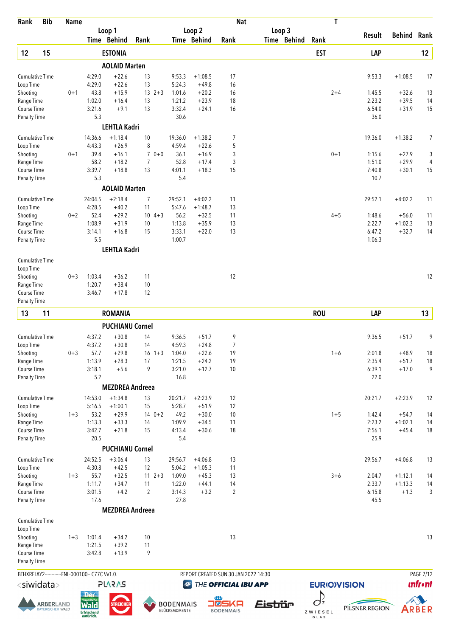| Rank                               | <b>Bib</b>                                  | <b>Name</b> |                                                |                        |                           |                                   |                    | <b>Nat</b>                           |                       | T                          |                  |                        |                  |
|------------------------------------|---------------------------------------------|-------------|------------------------------------------------|------------------------|---------------------------|-----------------------------------|--------------------|--------------------------------------|-----------------------|----------------------------|------------------|------------------------|------------------|
|                                    |                                             |             |                                                | Loop 1                 |                           |                                   | Loop 2             |                                      | Loop 3                |                            | Result           | <b>Behind Rank</b>     |                  |
|                                    |                                             |             |                                                | Time Behind            | Rank                      |                                   | <b>Time Behind</b> | Rank                                 | Time Behind           | Rank                       |                  |                        |                  |
| 12                                 | 15                                          |             |                                                | <b>ESTONIA</b>         |                           |                                   |                    |                                      |                       | <b>EST</b>                 | LAP              |                        | 12               |
|                                    |                                             |             |                                                | <b>AOLAID Marten</b>   |                           |                                   |                    |                                      |                       |                            |                  |                        |                  |
| <b>Cumulative Time</b>             |                                             |             | 4:29.0                                         | $+22.6$                | 13                        | 9:53.3                            | $+1:08.5$          | 17                                   |                       |                            | 9:53.3           | $+1:08.5$              | 17               |
| Loop Time<br>Shooting              |                                             | $0 + 1$     | 4:29.0<br>43.8                                 | $+22.6$<br>$+15.9$     | 13<br>$13 \t2+3$          | 5:24.3<br>1:01.6                  | $+49.8$<br>$+20.2$ | 16<br>16                             |                       | $2 + 4$                    | 1:45.5           | $+32.6$                | 13               |
| Range Time                         |                                             |             | 1:02.0                                         | $+16.4$                | 13                        | 1:21.2                            | $+23.9$            | 18                                   |                       |                            | 2:23.2           | $+39.5$                | 14               |
| Course Time                        |                                             |             | 3:21.6                                         | $+9.1$                 | 13                        | 3:32.4                            | $+24.1$            | 16                                   |                       |                            | 6:54.0           | $+31.9$                | 15               |
| Penalty Time                       |                                             |             | 5.3                                            |                        |                           | 30.6                              |                    |                                      |                       |                            | 36.0             |                        |                  |
|                                    |                                             |             |                                                | <b>LEHTLA Kadri</b>    |                           |                                   |                    |                                      |                       |                            |                  |                        |                  |
| <b>Cumulative Time</b>             |                                             |             | 14:36.6                                        | $+1:18.4$              | 10                        | 19:36.0                           | $+1:38.2$          | 7                                    |                       |                            | 19:36.0          | $+1:38.2$              | 7                |
| Loop Time                          |                                             |             | 4:43.3                                         | $+26.9$                | 8                         | 4:59.4                            | $+22.6$            | 5                                    |                       |                            |                  |                        |                  |
| Shooting                           |                                             | $0 + 1$     | 39.4                                           | $+16.1$                | $\overline{7}$<br>$0 + 0$ | 36.1                              | $+16.9$            | 3                                    |                       | $0 + 1$                    | 1:15.6           | $+27.9$                | 3                |
| Range Time                         |                                             |             | 58.2<br>3:39.7                                 | $+18.2$<br>$+18.8$     | $\overline{7}$            | 52.8<br>4:01.1                    | $+17.4$            | 3                                    |                       |                            | 1:51.0<br>7:40.8 | $+29.9$                | 4                |
| Course Time<br><b>Penalty Time</b> |                                             |             | 5.3                                            |                        | 13                        | 5.4                               | $+18.3$            | 15                                   |                       |                            | 10.7             | $+30.1$                | 15               |
|                                    |                                             |             |                                                | <b>AOLAID Marten</b>   |                           |                                   |                    |                                      |                       |                            |                  |                        |                  |
| <b>Cumulative Time</b>             |                                             |             | 24:04.5                                        | $+2:18.4$              | 7                         | 29:52.1                           | $+4:02.2$          | 11                                   |                       |                            | 29:52.1          | $+4:02.2$              | 11               |
| Loop Time                          |                                             |             | 4:28.5                                         | $+40.2$                | 11                        | 5:47.6                            | $+1:48.7$          | 13                                   |                       |                            |                  |                        |                  |
| Shooting                           |                                             | $0 + 2$     | 52.4                                           | $+29.2$                | $10 \t 4+3$               | 56.2                              | $+32.5$            | 11                                   |                       | $4 + 5$                    | 1:48.6           | $+56.0$                | 11               |
| Range Time                         |                                             |             | 1:08.9                                         | $+31.9$                | 10                        | 1:13.8                            | $+35.9$            | 13                                   |                       |                            | 2:22.7           | $+1:02.3$              | 13               |
| Course Time                        |                                             |             | 3:14.1                                         | $+16.8$                | 15                        | 3:33.1                            | $+22.0$            | 13                                   |                       |                            | 6:47.2           | $+32.7$                | 14               |
| <b>Penalty Time</b>                |                                             |             | 5.5                                            |                        |                           | 1:00.7                            |                    |                                      |                       |                            | 1:06.3           |                        |                  |
|                                    |                                             |             |                                                | <b>LEHTLA Kadri</b>    |                           |                                   |                    |                                      |                       |                            |                  |                        |                  |
| <b>Cumulative Time</b>             |                                             |             |                                                |                        |                           |                                   |                    |                                      |                       |                            |                  |                        |                  |
| Loop Time                          |                                             |             |                                                |                        |                           |                                   |                    |                                      |                       |                            |                  |                        |                  |
| Shooting                           |                                             | $0 + 3$     | 1:03.4                                         | $+36.2$                | 11                        |                                   |                    | 12                                   |                       |                            |                  |                        | 12               |
| Range Time                         |                                             |             | 1:20.7                                         | $+38.4$                | 10                        |                                   |                    |                                      |                       |                            |                  |                        |                  |
| Course Time<br><b>Penalty Time</b> |                                             |             | 3:46.7                                         | $+17.8$                | 12                        |                                   |                    |                                      |                       |                            |                  |                        |                  |
|                                    |                                             |             |                                                |                        |                           |                                   |                    |                                      |                       |                            |                  |                        |                  |
| 13                                 | 11                                          |             |                                                | <b>ROMANIA</b>         |                           |                                   |                    |                                      |                       | <b>ROU</b>                 | LAP              |                        | 13               |
|                                    |                                             |             |                                                | <b>PUCHIANU Cornel</b> |                           |                                   |                    |                                      |                       |                            |                  |                        |                  |
| <b>Cumulative Time</b>             |                                             |             | 4:37.2                                         | $+30.8$                | 14                        | 9:36.5                            | $+51.7$            | 9                                    |                       |                            | 9:36.5           | $+51.7$                | 9                |
| Loop Time                          |                                             |             | 4:37.2                                         | $+30.8$                | 14                        | 4:59.3                            | $+24.8$            | $\overline{7}$                       |                       |                            |                  |                        |                  |
| Shooting                           |                                             | $0 + 3$     | 57.7                                           | $+29.8$<br>$+28.3$     | $16 \t1+3$                | 1:04.0                            | $+22.6$            | 19                                   |                       | $1 + 6$                    | 2:01.8<br>2:35.4 | $+48.9$<br>$+51.7$     | 18               |
| Range Time<br>Course Time          |                                             |             | 1:13.9<br>3:18.1                               | $+5.6$                 | 17<br>9                   | 1:21.5<br>3:21.0                  | $+24.2$<br>$+12.7$ | 19<br>10                             |                       |                            | 6:39.1           | $+17.0$                | 18<br>9          |
| <b>Penalty Time</b>                |                                             |             | 5.2                                            |                        |                           | 16.8                              |                    |                                      |                       |                            | 22.0             |                        |                  |
|                                    |                                             |             |                                                | <b>MEZDREA Andreea</b> |                           |                                   |                    |                                      |                       |                            |                  |                        |                  |
| <b>Cumulative Time</b>             |                                             |             | 14:53.0                                        | $+1:34.8$              | 13                        | 20:21.7                           | $+2:23.9$          | 12                                   |                       |                            | 20:21.7          | $+2:23.9$              | 12               |
| Loop Time                          |                                             |             | 5:16.5                                         | $+1:00.1$              | 15                        | 5:28.7                            | $+51.9$            | 12                                   |                       |                            |                  |                        |                  |
| Shooting                           |                                             | $1 + 3$     | 53.2                                           | $+29.9$                | $140+2$                   | 49.2                              | $+30.0$            | 10                                   |                       | $1 + 5$                    | 1:42.4           | $+54.7$                | 14               |
| Range Time                         |                                             |             | 1:13.3                                         | $+33.3$                | 14                        | 1:09.9                            | $+34.5$            | 11                                   |                       |                            | 2:23.2           | $+1:02.1$              | 14               |
| Course Time                        |                                             |             | 3:42.7                                         | $+21.8$                | 15                        | 4:13.4                            | $+30.6$            | 18                                   |                       |                            | 7:56.1           | $+45.4$                | 18               |
| <b>Penalty Time</b>                |                                             |             | 20.5                                           |                        |                           | 5.4                               |                    |                                      |                       |                            | 25.9             |                        |                  |
|                                    |                                             |             |                                                | <b>PUCHIANU Cornel</b> |                           |                                   |                    |                                      |                       |                            |                  |                        |                  |
| <b>Cumulative Time</b>             |                                             |             | 24:52.5                                        | $+3:06.4$              | 13                        | 29:56.7                           | $+4:06.8$          | 13                                   |                       |                            | 29:56.7          | $+4:06.8$              | 13               |
| Loop Time                          |                                             |             | 4:30.8                                         | $+42.5$                | 12                        | 5:04.2                            | $+1:05.3$          | 11                                   |                       |                            |                  |                        |                  |
| Shooting<br>Range Time             |                                             | $1 + 3$     | 55.7<br>1:11.7                                 | $+32.5$<br>$+34.7$     | $11 \t2+3$<br>11          | 1:09.0<br>1:22.0                  | $+45.3$<br>$+44.1$ | 13<br>14                             |                       | $3 + 6$                    | 2:04.7<br>2:33.7 | $+1:12.1$<br>$+1:13.3$ | 14<br>14         |
| Course Time                        |                                             |             | 3:01.5                                         | $+4.2$                 | $\overline{2}$            | 3:14.3                            | $+3.2$             | $\overline{2}$                       |                       |                            | 6:15.8           | $+1.3$                 | 3                |
| <b>Penalty Time</b>                |                                             |             | 17.6                                           |                        |                           | 27.8                              |                    |                                      |                       |                            | 45.5             |                        |                  |
|                                    |                                             |             |                                                | <b>MEZDREA Andreea</b> |                           |                                   |                    |                                      |                       |                            |                  |                        |                  |
| <b>Cumulative Time</b>             |                                             |             |                                                |                        |                           |                                   |                    |                                      |                       |                            |                  |                        |                  |
| Loop Time                          |                                             |             |                                                |                        |                           |                                   |                    |                                      |                       |                            |                  |                        |                  |
| Shooting                           |                                             | $1 + 3$     | 1:01.4                                         | $+34.2$                | 10                        |                                   |                    | 13                                   |                       |                            |                  |                        | 13               |
| Range Time                         |                                             |             | 1:21.5                                         | $+39.2$                | 11                        |                                   |                    |                                      |                       |                            |                  |                        |                  |
| Course Time                        |                                             |             | 3:42.8                                         | $+13.9$                | 9                         |                                   |                    |                                      |                       |                            |                  |                        |                  |
| Penalty Time                       |                                             |             |                                                |                        |                           |                                   |                    |                                      |                       |                            |                  |                        |                  |
|                                    |                                             |             | BTHXRELAY2------------FNL-000100-- C77C Vv1.0. |                        |                           |                                   |                    | REPORT CREATED SUN 30 JAN 2022 14:30 |                       |                            |                  |                        | <b>PAGE 7/12</b> |
| <siwidata></siwidata>              |                                             |             |                                                | <b>SV2V7</b>           |                           | $\bigcirc$                        |                    | THE OFFICIAL IBU APP                 |                       | <b>EURIO)VISION</b>        |                  |                        | <b>unfr</b> •nt  |
|                                    |                                             |             | <b>Der</b><br><b>Rayerisch</b>                 |                        |                           |                                   |                    |                                      |                       | $\int_{\mathbb{Z}}$        |                  |                        |                  |
|                                    | <b>ARBER</b> LAND<br><b>AYERISCHER WALD</b> |             | <b>Wald</b>                                    | <b>STREICHEI</b>       |                           | <b>BODENMAIS</b><br>GLÜCKSMOMENTE |                    | SKA<br>8 L                           | <i><b>Eistiür</b></i> |                            | PILSNER REGION   |                        | ARBER            |
|                                    |                                             |             | Erfrischend<br>natürlich.                      |                        |                           |                                   |                    | <b>BODENMAIS</b>                     |                       | ZWIESEL<br>$G$ $L$ $A$ $S$ |                  |                        |                  |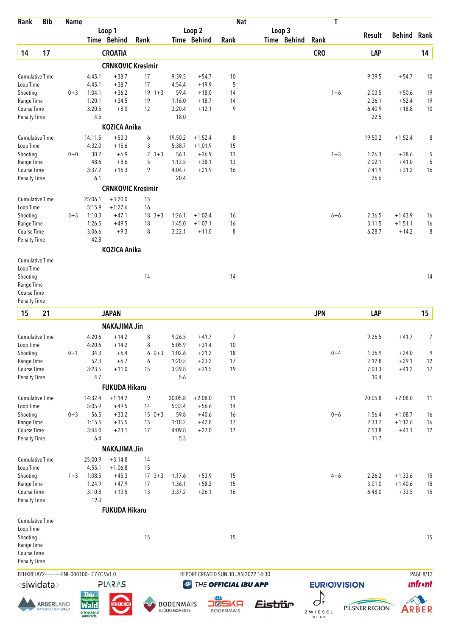| Rank                                | <b>Bib</b>                                   | <b>Name</b> |                                                              |                      |                                |                                   |                    | <b>Nat</b>                           |             | T                  |                  |                      |                |
|-------------------------------------|----------------------------------------------|-------------|--------------------------------------------------------------|----------------------|--------------------------------|-----------------------------------|--------------------|--------------------------------------|-------------|--------------------|------------------|----------------------|----------------|
|                                     |                                              |             |                                                              | Loop 1               |                                |                                   | Loop 2             |                                      | Loop 3      |                    | Result           | <b>Behind Rank</b>   |                |
|                                     |                                              |             |                                                              | Time Behind          | Rank                           |                                   | Time Behind        | Rank                                 | Time Behind | Rank               |                  |                      |                |
| 14                                  | 17                                           |             |                                                              | <b>CROATIA</b>       |                                |                                   |                    |                                      |             | <b>CRO</b>         | LAP              |                      | 14             |
|                                     |                                              |             |                                                              |                      | <b>CRNKOVIC Kresimir</b>       |                                   |                    |                                      |             |                    |                  |                      |                |
| <b>Cumulative Time</b><br>Loop Time |                                              |             | 4:45.1<br>4:45.1                                             | $+38.7$<br>$+38.7$   | 17<br>17                       | 9:39.5<br>4:54.4                  | $+54.7$<br>$+19.9$ | 10<br>5                              |             |                    | 9:39.5           | $+54.7$              | 10             |
| Shooting                            |                                              | $0 + 3$     | 1:04.1                                                       | $+36.2$              | $19 + 3$                       | 59.4                              | $+18.0$            | 14                                   |             | $1 + 6$            | 2:03.5           | $+50.6$              | 19             |
| Range Time                          |                                              |             | 1:20.1                                                       | $+34.5$              | 19                             | 1:16.0                            | $+18.7$            | 14                                   |             |                    | 2:36.1           | $+52.4$              | 19             |
| Course Time                         |                                              |             | 3:20.5                                                       | $+8.0$               | 12                             | 3:20.4                            | $+12.1$            | 9                                    |             |                    | 6:40.9           | $+18.8$              | 10             |
| <b>Penalty Time</b>                 |                                              |             | 4.5                                                          |                      |                                | 18.0                              |                    |                                      |             |                    | 22.5             |                      |                |
|                                     |                                              |             |                                                              | <b>KOZICA Anika</b>  |                                |                                   |                    |                                      |             |                    |                  |                      |                |
| <b>Cumulative Time</b>              |                                              |             | 14:11.5                                                      | $+53.3$              | 6                              | 19:50.2                           | $+1:52.4$          | 8                                    |             |                    | 19:50.2          | $+1:52.4$            | 8              |
| Loop Time                           |                                              |             | 4:32.0                                                       | $+15.6$              | 3                              | 5:38.7                            | $+1:01.9$          | 15                                   |             |                    |                  |                      |                |
| Shooting<br>Range Time              |                                              | $0 + 0$     | 30.2<br>48.6                                                 | $+6.9$<br>$+8.6$     | $\overline{2}$<br>$1 + 3$<br>5 | 56.1<br>1:13.5                    | $+36.9$<br>$+38.1$ | 13<br>13                             |             | $1 + 3$            | 1:26.3<br>2:02.1 | $+38.6$<br>$+41.0$   | 5<br>5         |
| Course Time                         |                                              |             | 3:37.2                                                       | $+16.3$              | 9                              | 4:04.7                            | $+21.9$            | 16                                   |             |                    | 7:41.9           | $+31.2$              | 16             |
| <b>Penalty Time</b>                 |                                              |             | 6.1                                                          |                      |                                | 20.4                              |                    |                                      |             |                    | 26.6             |                      |                |
|                                     |                                              |             |                                                              |                      | <b>CRNKOVIC Kresimir</b>       |                                   |                    |                                      |             |                    |                  |                      |                |
| <b>Cumulative Time</b>              |                                              |             | 25:06.1                                                      | $+3:20.0$            | 15                             |                                   |                    |                                      |             |                    |                  |                      |                |
| Loop Time                           |                                              |             | 5:15.9                                                       | $+1:27.6$            | 16                             |                                   |                    |                                      |             |                    |                  |                      |                |
| Shooting                            |                                              | $3 + 3$     | 1:10.3                                                       | $+47.1$              | $18 \t3+3$                     | 1:26.1                            | $+1:02.4$          | 16                                   |             | $6 + 6$            | 2:36.5           | $+1:43.9$            | 16             |
| Range Time                          |                                              |             | 1:26.5                                                       | $+49.5$              | 18                             | 1:45.0                            | $+1:07.1$          | 16                                   |             |                    | 3:11.5           | $+1:51.1$            | 16             |
| Course Time                         |                                              |             | 3:06.6                                                       | $+9.3$               | 8                              | 3:22.1                            | $+11.0$            | 8                                    |             |                    | 6:28.7           | $+14.2$              | 8              |
| <b>Penalty Time</b>                 |                                              |             | 42.8                                                         |                      |                                |                                   |                    |                                      |             |                    |                  |                      |                |
|                                     |                                              |             |                                                              | <b>KOZICA Anika</b>  |                                |                                   |                    |                                      |             |                    |                  |                      |                |
| <b>Cumulative Time</b>              |                                              |             |                                                              |                      |                                |                                   |                    |                                      |             |                    |                  |                      |                |
| Loop Time                           |                                              |             |                                                              |                      |                                |                                   |                    |                                      |             |                    |                  |                      |                |
| Shooting<br>Range Time              |                                              |             |                                                              |                      | 14                             |                                   |                    | 14                                   |             |                    |                  |                      | 14             |
| Course Time                         |                                              |             |                                                              |                      |                                |                                   |                    |                                      |             |                    |                  |                      |                |
| <b>Penalty Time</b>                 |                                              |             |                                                              |                      |                                |                                   |                    |                                      |             |                    |                  |                      |                |
| 15                                  | 21                                           |             |                                                              | <b>JAPAN</b>         |                                |                                   |                    |                                      |             | <b>JPN</b>         | LAP              |                      | 15             |
|                                     |                                              |             |                                                              | <b>NAKAJIMA Jin</b>  |                                |                                   |                    |                                      |             |                    |                  |                      |                |
| <b>Cumulative Time</b>              |                                              |             | 4:20.6                                                       | $+14.2$              | 8                              | 9:26.5                            | $+41.7$            | 7                                    |             |                    | 9:26.5           | $+41.7$              | 7              |
| Loop Time                           |                                              |             | 4:20.6                                                       | $+14.2$              | 8                              | 5:05.9                            | $+31.4$            | 10                                   |             |                    |                  |                      |                |
| Shooting                            |                                              | $0 + 1$     | 34.3                                                         | $+6.4$               | $60+3$                         | 1:02.6                            | $+21.2$            | 18                                   |             | $0 + 4$            | 1:36.9           | $+24.0$              | 9              |
| Range Time                          |                                              |             | 52.3                                                         | $+6.7$               | 6                              | 1:20.5                            | $+23.2$            | 17                                   |             |                    | 2:12.8           | $+29.1$              | 12             |
| Course Time                         |                                              |             | 3:23.5                                                       | $+11.0$              | 15                             | 3:39.8                            | $+31.5$            | 19                                   |             |                    | 7:03.3           | $+41.2$              | 17             |
| <b>Penalty Time</b>                 |                                              |             | 4.7                                                          |                      |                                | 5.6                               |                    |                                      |             |                    | 10.4             |                      |                |
|                                     |                                              |             |                                                              | <b>FUKUDA Hikaru</b> |                                |                                   |                    |                                      |             |                    |                  |                      |                |
| <b>Cumulative Time</b>              |                                              |             | 14:32.4                                                      | $+1:14.2$            | 9                              | 20:05.8                           | $+2:08.0$          | 11                                   |             |                    | 20:05.8          | $+2:08.0$            | 11             |
| Loop Time                           |                                              |             | 5:05.9                                                       | $+49.5$              | 14                             | 5:33.4                            | $+56.6$            | 14                                   |             |                    |                  |                      |                |
| Shooting                            |                                              | $0 + 3$     | 56.5                                                         | $+33.2$              | $150+3$                        | 59.8                              | $+40.6$            | 16                                   |             | $0 + 6$            | 1:56.4           | $+1:08.7$            | 16             |
| Range Time<br>Course Time           |                                              |             | 1:15.5<br>3:44.0                                             | $+35.5$<br>$+23.1$   | 15<br>17                       | 1:18.2<br>4:09.8                  | $+42.8$<br>$+27.0$ | 17<br>17                             |             |                    | 2:33.7<br>7:53.8 | $+1:12.6$<br>$+43.1$ | 16<br>17       |
| <b>Penalty Time</b>                 |                                              |             | 6.4                                                          |                      |                                | 5.3                               |                    |                                      |             |                    | 11.7             |                      |                |
|                                     |                                              |             |                                                              | <b>NAKAJIMA Jin</b>  |                                |                                   |                    |                                      |             |                    |                  |                      |                |
| <b>Cumulative Time</b>              |                                              |             | 25:00.9                                                      | $+3:14.8$            | 14                             |                                   |                    |                                      |             |                    |                  |                      |                |
| Loop Time                           |                                              |             | 4:55.1                                                       | $+1:06.8$            | 15                             |                                   |                    |                                      |             |                    |                  |                      |                |
| Shooting                            |                                              | $1 + 3$     | 1:08.5                                                       | $+45.3$              | $17 \t3+3$                     | 1:17.6                            | $+53.9$            | 15                                   |             | $4 + 6$            | 2:26.2           | $+1:33.6$            | 15             |
| Range Time                          |                                              |             | 1:24.9                                                       | $+47.9$              | 17                             | 1:36.1                            | $+58.2$            | 15                                   |             |                    | 3:01.0           | $+1:40.6$            | 15             |
| Course Time                         |                                              |             | 3:10.8                                                       | $+13.5$              | 13                             | 3:37.2                            | $+26.1$            | 16                                   |             |                    | 6:48.0           | $+33.5$              | 15             |
| <b>Penalty Time</b>                 |                                              |             | 19.3                                                         |                      |                                |                                   |                    |                                      |             |                    |                  |                      |                |
|                                     |                                              |             |                                                              | <b>FUKUDA Hikaru</b> |                                |                                   |                    |                                      |             |                    |                  |                      |                |
| <b>Cumulative Time</b>              |                                              |             |                                                              |                      |                                |                                   |                    |                                      |             |                    |                  |                      |                |
| Loop Time                           |                                              |             |                                                              |                      |                                |                                   |                    |                                      |             |                    |                  |                      |                |
| Shooting<br>Range Time              |                                              |             |                                                              |                      | 15                             |                                   |                    | 15                                   |             |                    |                  |                      | 15             |
| Course Time                         |                                              |             |                                                              |                      |                                |                                   |                    |                                      |             |                    |                  |                      |                |
| Penalty Time                        |                                              |             |                                                              |                      |                                |                                   |                    |                                      |             |                    |                  |                      |                |
|                                     |                                              |             | BTHXRELAY2------------FNL-000100-- C77C Vv1.0.               |                      |                                |                                   |                    | REPORT CREATED SUN 30 JAN 2022 14:30 |             |                    |                  |                      | PAGE 8/12      |
| $<$ siwidata $>$                    |                                              |             |                                                              | <b>PLARAS</b>        |                                | $\bigcirc$                        |                    | THE OFFICIAL IBU APP                 |             | <b>EURIOVISION</b> |                  |                      | <b>unfront</b> |
|                                     |                                              |             | <b>Der</b>                                                   |                      |                                |                                   |                    |                                      |             |                    |                  |                      |                |
|                                     | <b>ARBER</b> LAND<br><b>BAYERISCHER WALD</b> |             | <b>Rayerisch</b><br><b>Wald</b><br>Erfrischend<br>natürlich. | <b>STREICHEF</b>     |                                | <b>BODENMAIS</b><br>GLÜCKSMOMENTE |                    | SKA<br>⊠⊏<br><b>BODENMAIS</b>        | Eistiür     | $O_z$<br>ZWIESEL   | PILSNER REGION   |                      | ARBER          |

 $Z W I E S E L$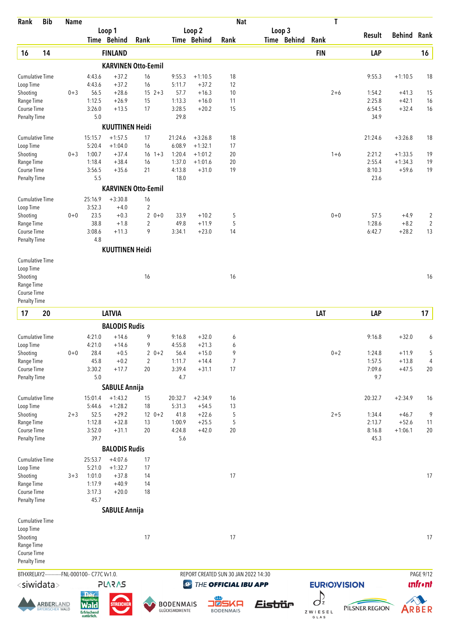| Rank                               | <b>Bib</b>                           | <b>Name</b> |                                                              |                        |                            |                                   |                       | <b>Nat</b>                           |                       | T                                   |                |                    |                 |
|------------------------------------|--------------------------------------|-------------|--------------------------------------------------------------|------------------------|----------------------------|-----------------------------------|-----------------------|--------------------------------------|-----------------------|-------------------------------------|----------------|--------------------|-----------------|
|                                    |                                      |             |                                                              | Loop 1<br>Time Behind  | Rank                       |                                   | Loop 2<br>Time Behind | Rank                                 | Loop 3<br>Time Behind | Rank                                | Result         | <b>Behind Rank</b> |                 |
| 16                                 | 14                                   |             |                                                              | <b>FINLAND</b>         |                            |                                   |                       |                                      |                       | <b>FIN</b>                          | LAP            |                    | $16\,$          |
|                                    |                                      |             |                                                              |                        | <b>KARVINEN Otto-Eemil</b> |                                   |                       |                                      |                       |                                     |                |                    |                 |
| <b>Cumulative Time</b>             |                                      |             | 4:43.6                                                       | $+37.2$                | 16                         | 9:55.3                            | $+1:10.5$             | 18                                   |                       |                                     | 9:55.3         | $+1:10.5$          | 18              |
| Loop Time                          |                                      |             | 4:43.6                                                       | $+37.2$                | 16                         | 5:11.7                            | $+37.2$               | 12                                   |                       |                                     |                |                    |                 |
| Shooting                           |                                      | $0 + 3$     | 56.5                                                         | $+28.6$                | $15 \t2+3$                 | 57.7                              | $+16.3$               | 10                                   |                       | $2 + 6$                             | 1:54.2         | $+41.3$            | 15              |
| Range Time                         |                                      |             | 1:12.5                                                       | $+26.9$                | 15                         | 1:13.3                            | $+16.0$               | 11                                   |                       |                                     | 2:25.8         | $+42.1$            | 16              |
| Course Time<br><b>Penalty Time</b> |                                      |             | 3:26.0<br>5.0                                                | $+13.5$                | 17                         | 3:28.5<br>29.8                    | $+20.2$               | 15                                   |                       |                                     | 6:54.5<br>34.9 | $+32.4$            | 16              |
|                                    |                                      |             |                                                              | <b>KUUTTINEN Heidi</b> |                            |                                   |                       |                                      |                       |                                     |                |                    |                 |
| <b>Cumulative Time</b>             |                                      |             | 15:15.7                                                      | $+1:57.5$              | 17                         | 21:24.6                           | $+3:26.8$             | 18                                   |                       |                                     | 21:24.6        | $+3:26.8$          | 18              |
| Loop Time                          |                                      |             | 5:20.4                                                       | $+1:04.0$              | 16                         | 6:08.9                            | $+1:32.1$             | 17                                   |                       |                                     |                |                    |                 |
| Shooting                           |                                      | $0 + 3$     | 1:00.7                                                       | $+37.4$                | $16 \t1+3$                 | 1:20.4                            | $+1:01.2$             | 20                                   |                       | $1 + 6$                             | 2:21.2         | $+1:33.5$          | 19              |
| Range Time                         |                                      |             | 1:18.4                                                       | $+38.4$                | 16                         | 1:37.0                            | $+1:01.6$             | 20                                   |                       |                                     | 2:55.4         | $+1:34.3$          | 19              |
| Course Time<br><b>Penalty Time</b> |                                      |             | 3:56.5<br>5.5                                                | $+35.6$                | 21                         | 4:13.8<br>18.0                    | $+31.0$               | 19                                   |                       |                                     | 8:10.3<br>23.6 | $+59.6$            | 19              |
|                                    |                                      |             |                                                              |                        | <b>KARVINEN Otto-Eemil</b> |                                   |                       |                                      |                       |                                     |                |                    |                 |
| <b>Cumulative Time</b>             |                                      |             | 25:16.9                                                      | $+3:30.8$              | 16                         |                                   |                       |                                      |                       |                                     |                |                    |                 |
| Loop Time                          |                                      |             | 3:52.3                                                       | $+4.0$                 | $\overline{c}$             |                                   |                       |                                      |                       |                                     |                |                    |                 |
| Shooting                           |                                      | $0 + 0$     | 23.5                                                         | $+0.3$                 | $\overline{2}$<br>$0 + 0$  | 33.9                              | $+10.2$               | 5                                    |                       | $0 + 0$                             | 57.5           | $+4.9$             | $\overline{c}$  |
| Range Time                         |                                      |             | 38.8                                                         | $+1.8$                 | 2                          | 49.8                              | $+11.9$               | 5                                    |                       |                                     | 1:28.6         | $+8.2$             | $\sqrt{2}$      |
| Course Time                        |                                      |             | 3:08.6                                                       | $+11.3$                | 9                          | 3:34.1                            | $+23.0$               | 14                                   |                       |                                     | 6:42.7         | $+28.2$            | 13              |
| Penalty Time                       |                                      |             | 4.8                                                          |                        |                            |                                   |                       |                                      |                       |                                     |                |                    |                 |
| <b>Cumulative Time</b>             |                                      |             |                                                              | <b>KUUTTINEN Heidi</b> |                            |                                   |                       |                                      |                       |                                     |                |                    |                 |
| Loop Time                          |                                      |             |                                                              |                        |                            |                                   |                       |                                      |                       |                                     |                |                    |                 |
| Shooting                           |                                      |             |                                                              |                        | 16                         |                                   |                       | 16                                   |                       |                                     |                |                    | 16              |
| Range Time                         |                                      |             |                                                              |                        |                            |                                   |                       |                                      |                       |                                     |                |                    |                 |
| Course Time                        |                                      |             |                                                              |                        |                            |                                   |                       |                                      |                       |                                     |                |                    |                 |
| <b>Penalty Time</b>                |                                      |             |                                                              |                        |                            |                                   |                       |                                      |                       |                                     |                |                    |                 |
| 17                                 | 20                                   |             |                                                              | <b>LATVIA</b>          |                            |                                   |                       |                                      |                       | LAT                                 | LAP            |                    | 17              |
|                                    |                                      |             |                                                              | <b>BALODIS Rudis</b>   |                            |                                   |                       |                                      |                       |                                     |                |                    |                 |
| <b>Cumulative Time</b>             |                                      |             | 4:21.0                                                       | $+14.6$                | 9                          | 9:16.8                            | $+32.0$               | 6                                    |                       |                                     | 9:16.8         | $+32.0$            | 6               |
| Loop Time<br>Shooting              |                                      | $0 + 0$     | 4:21.0<br>28.4                                               | $+14.6$<br>$+0.5$      | 9<br>$20+2$                | 4:55.8<br>56.4                    | $+21.3$<br>$+15.0$    | 6<br>9                               |                       | $0 + 2$                             | 1:24.8         | $+11.9$            | 5               |
| Range Time                         |                                      |             | 45.8                                                         | $+0.2$                 | $\overline{2}$             | 1:11.7                            | $+14.4$               | $\overline{7}$                       |                       |                                     | 1:57.5         | $+13.8$            | 4               |
| Course Time                        |                                      |             | 3:30.2                                                       | $+17.7$                | 20                         | 3:39.4                            | $+31.1$               | 17                                   |                       |                                     | 7:09.6         | $+47.5$            | 20              |
| Penalty Time                       |                                      |             | 5.0                                                          |                        |                            | 4.7                               |                       |                                      |                       |                                     | 9.7            |                    |                 |
|                                    |                                      |             |                                                              | <b>SABULE Annija</b>   |                            |                                   |                       |                                      |                       |                                     |                |                    |                 |
| Cumulative Time                    |                                      |             | 15:01.4                                                      | $+1:43.2$              | 15                         | 20:32.7                           | $+2:34.9$             | 16                                   |                       |                                     | 20:32.7        | $+2:34.9$          | 16              |
| Loop Time<br>Shooting              |                                      | $2 + 3$     | 5:44.6<br>52.5                                               | $+1:28.2$<br>$+29.2$   | 18<br>$12 \t 0+2$          | 5:31.3<br>41.8                    | $+54.5$<br>$+22.6$    | 13<br>5                              |                       | $2 + 5$                             | 1:34.4         | $+46.7$            | 9               |
| Range Time                         |                                      |             | 1:12.8                                                       | $+32.8$                | 13                         | 1:00.9                            | $+25.5$               | 5                                    |                       |                                     | 2:13.7         | $+52.6$            | 11              |
| Course Time                        |                                      |             | 3:52.0                                                       | $+31.1$                | 20                         | 4:24.8                            | $+42.0$               | 20                                   |                       |                                     | 8:16.8         | $+1:06.1$          | 20              |
| <b>Penalty Time</b>                |                                      |             | 39.7                                                         |                        |                            | 5.6                               |                       |                                      |                       |                                     | 45.3           |                    |                 |
|                                    |                                      |             |                                                              | <b>BALODIS Rudis</b>   |                            |                                   |                       |                                      |                       |                                     |                |                    |                 |
| <b>Cumulative Time</b>             |                                      |             | 25:53.7                                                      | $+4:07.6$              | 17                         |                                   |                       |                                      |                       |                                     |                |                    |                 |
| Loop Time<br>Shooting              |                                      | $3 + 3$     | 5:21.0<br>1:01.0                                             | $+1:32.7$<br>$+37.8$   | 17<br>14                   |                                   |                       | 17                                   |                       |                                     |                |                    | 17              |
| Range Time                         |                                      |             | 1:17.9                                                       | $+40.9$                | 14                         |                                   |                       |                                      |                       |                                     |                |                    |                 |
| Course Time                        |                                      |             | 3:17.3                                                       | $+20.0$                | 18                         |                                   |                       |                                      |                       |                                     |                |                    |                 |
| <b>Penalty Time</b>                |                                      |             | 45.7                                                         |                        |                            |                                   |                       |                                      |                       |                                     |                |                    |                 |
|                                    |                                      |             |                                                              | <b>SABULE Annija</b>   |                            |                                   |                       |                                      |                       |                                     |                |                    |                 |
| Cumulative Time                    |                                      |             |                                                              |                        |                            |                                   |                       |                                      |                       |                                     |                |                    |                 |
| Loop Time<br>Shooting              |                                      |             |                                                              |                        | 17                         |                                   |                       | 17                                   |                       |                                     |                |                    | 17              |
| Range Time                         |                                      |             |                                                              |                        |                            |                                   |                       |                                      |                       |                                     |                |                    |                 |
| Course Time                        |                                      |             |                                                              |                        |                            |                                   |                       |                                      |                       |                                     |                |                    |                 |
| <b>Penalty Time</b>                |                                      |             |                                                              |                        |                            |                                   |                       |                                      |                       |                                     |                |                    |                 |
|                                    |                                      |             | BTHXRELAY2------------FNL-000100-- C77C Vv1.0.               |                        |                            |                                   |                       | REPORT CREATED SUN 30 JAN 2022 14:30 |                       |                                     |                |                    | PAGE 9/12       |
| <siwidata></siwidata>              |                                      |             |                                                              | <b>PLARAS</b>          |                            | $\bigcirc$                        |                       | THE OFFICIAL IBU APP                 |                       | <b>EURIOVISION</b>                  |                |                    | <b>unfr</b> •nt |
|                                    |                                      |             | <b>Der</b>                                                   |                        |                            |                                   |                       |                                      |                       |                                     |                |                    |                 |
|                                    | <b>ARBERLAND</b><br>BAYERISCHER WALD |             | <b>Rayerisch</b><br><b>Wald</b><br>Erfrischend<br>natürlich. | STREIA!                |                            | <b>BODENMAIS</b><br>GLÜCKSMOMENTE | ∎⊠                    | SKA<br><b>BODENMAIS</b>              | Eistiür               | $O_z$<br>ZWIESEL<br>$G$ $L$ $A$ $S$ | PILSNER REGION |                    | ARBER           |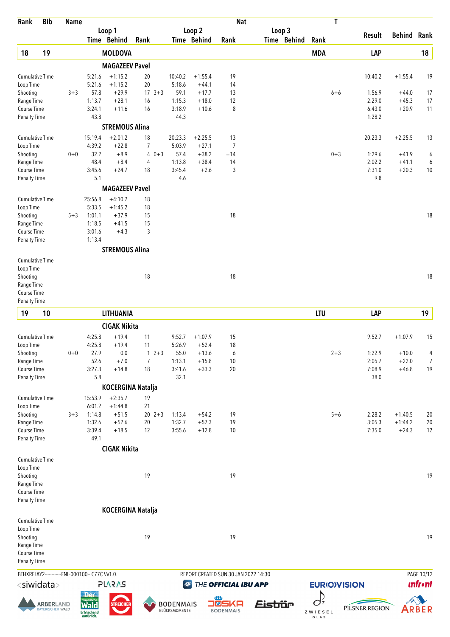| Rank                                                          | <b>Bib</b>                           | <b>Name</b> |                                                                            |                                              |                      |            |                                     |                                            | <b>Nat</b>              |                                                              |                       |                                    | T                  |                             |                                 |                              |
|---------------------------------------------------------------|--------------------------------------|-------------|----------------------------------------------------------------------------|----------------------------------------------|----------------------|------------|-------------------------------------|--------------------------------------------|-------------------------|--------------------------------------------------------------|-----------------------|------------------------------------|--------------------|-----------------------------|---------------------------------|------------------------------|
|                                                               |                                      |             |                                                                            | Loop 1<br>Time Behind                        | Rank                 |            |                                     | Loop 2<br><b>Time Behind</b>               | Rank                    |                                                              | Loop 3<br>Time Behind | Rank                               |                    | Result                      | <b>Behind Rank</b>              |                              |
| 18                                                            | 19                                   |             |                                                                            | <b>MOLDOVA</b>                               |                      |            |                                     |                                            |                         |                                                              |                       | <b>MDA</b>                         |                    | LAP                         |                                 | 18                           |
|                                                               |                                      |             |                                                                            | <b>MAGAZEEV Pavel</b>                        |                      |            |                                     |                                            |                         |                                                              |                       |                                    |                    |                             |                                 |                              |
| <b>Cumulative Time</b><br>Loop Time<br>Shooting               |                                      | $3 + 3$     | 5:21.6<br>5:21.6<br>57.8<br>1:13.7                                         | $+1:15.2$<br>$+1:15.2$<br>$+29.9$<br>$+28.1$ | 20<br>20<br>16       | $17 \t3+3$ | 10:40.2<br>5:18.6<br>59.1<br>1:15.3 | $+1:55.4$<br>$+44.1$<br>$+17.7$<br>$+18.0$ | 19<br>14<br>13<br>12    |                                                              |                       |                                    | $6 + 6$            | 10:40.2<br>1:56.9<br>2:29.0 | $+1:55.4$<br>$+44.0$<br>$+45.3$ | 19<br>17<br>17               |
| Range Time<br>Course Time<br>Penalty Time                     |                                      |             | 3:24.1<br>43.8                                                             | $+11.6$<br><b>STREMOUS Alina</b>             | 16                   |            | 3:18.9<br>44.3                      | $+10.6$                                    | 8                       |                                                              |                       |                                    |                    | 6:43.0<br>1:28.2            | $+20.9$                         | 11                           |
| Cumulative Time                                               |                                      |             | 15:19.4                                                                    | $+2:01.2$                                    | 18                   |            | 20:23.3                             | $+2:25.5$                                  | 13                      |                                                              |                       |                                    |                    | 20:23.3                     | $+2:25.5$                       | 13                           |
| Loop Time<br>Shooting<br>Range Time<br>Course Time            |                                      | $0 + 0$     | 4:39.2<br>32.2<br>48.4<br>3:45.6                                           | $+22.8$<br>$+8.9$<br>$+8.4$<br>$+24.7$       | 7<br>4<br>4<br>18    | $0 + 3$    | 5:03.9<br>57.4<br>1:13.8<br>3:45.4  | $+27.1$<br>$+38.2$<br>$+38.4$<br>$+2.6$    | 7<br>$=14$<br>14<br>3   |                                                              |                       |                                    | $0 + 3$            | 1:29.6<br>2:02.2<br>7:31.0  | $+41.9$<br>$+41.1$<br>$+20.3$   | 6<br>6<br>10                 |
| <b>Penalty Time</b>                                           |                                      |             | 5.1                                                                        | <b>MAGAZEEV Pavel</b>                        |                      |            | 4.6                                 |                                            |                         |                                                              |                       |                                    |                    | 9.8                         |                                 |                              |
| <b>Cumulative Time</b><br>Loop Time<br>Shooting<br>Range Time |                                      | $5 + 3$     | 25:56.8<br>5:33.5<br>1:01.1<br>1:18.5                                      | $+4:10.7$<br>$+1:45.2$<br>$+37.9$<br>$+41.5$ | 18<br>18<br>15<br>15 |            |                                     |                                            | 18                      |                                                              |                       |                                    |                    |                             |                                 | 18                           |
| <b>Course Time</b><br><b>Penalty Time</b>                     |                                      |             | 3:01.6<br>1:13.4                                                           | $+4.3$                                       | 3                    |            |                                     |                                            |                         |                                                              |                       |                                    |                    |                             |                                 |                              |
|                                                               |                                      |             |                                                                            | <b>STREMOUS Alina</b>                        |                      |            |                                     |                                            |                         |                                                              |                       |                                    |                    |                             |                                 |                              |
| <b>Cumulative Time</b><br>Loop Time<br>Shooting<br>Range Time |                                      |             |                                                                            |                                              | 18                   |            |                                     |                                            | 18                      |                                                              |                       |                                    |                    |                             |                                 | 18                           |
| Course Time<br><b>Penalty Time</b>                            |                                      |             |                                                                            |                                              |                      |            |                                     |                                            |                         |                                                              |                       |                                    |                    |                             |                                 |                              |
| 19                                                            | 10                                   |             |                                                                            | <b>LITHUANIA</b>                             |                      |            |                                     |                                            |                         |                                                              |                       | <b>LTU</b>                         |                    | LAP                         |                                 | 19                           |
|                                                               |                                      |             |                                                                            | <b>CIGAK Nikita</b>                          |                      |            |                                     |                                            |                         |                                                              |                       |                                    |                    |                             |                                 |                              |
| <b>Cumulative Time</b>                                        |                                      |             | 4:25.8<br>4:25.8                                                           | $+19.4$<br>$+19.4$                           | 11<br>11             |            | 9:52.7                              | $+1:07.9$                                  | 15                      |                                                              |                       |                                    |                    | 9:52.7                      | $+1:07.9$                       | 15                           |
| Loop Time<br>Shooting                                         |                                      | $0+0$       | 27.9                                                                       | 0.0                                          |                      | $12+3$     | 5:26.9<br>55.0                      | $+52.4$<br>$+13.6$                         | 18<br>6                 |                                                              |                       |                                    | $2 + 3$            | 1:22.9                      | $+10.0$                         | 4                            |
| Range Time                                                    |                                      |             | 52.6                                                                       | $+7.0$                                       | $\overline{7}$       |            | 1:13.1                              | $+15.8$                                    | 10                      |                                                              |                       |                                    |                    | 2:05.7                      | $+22.0$                         | 7                            |
| Course Time<br>Penalty Time                                   |                                      |             | 3:27.3<br>5.8                                                              | $+14.8$                                      | 18                   |            | 3:41.6<br>32.1                      | $+33.3$                                    | 20                      |                                                              |                       |                                    |                    | 7:08.9<br>38.0              | $+46.8$                         | 19                           |
|                                                               |                                      |             |                                                                            | <b>KOCERGINA Natalja</b>                     |                      |            |                                     |                                            |                         |                                                              |                       |                                    |                    |                             |                                 |                              |
| <b>Cumulative Time</b>                                        |                                      |             | 15:53.9                                                                    | $+2:35.7$                                    | 19                   |            |                                     |                                            |                         |                                                              |                       |                                    |                    |                             |                                 |                              |
| Loop Time                                                     |                                      |             | 6:01.2                                                                     | $+1:44.8$                                    | 21                   |            |                                     |                                            |                         |                                                              |                       |                                    |                    |                             |                                 |                              |
| Shooting                                                      |                                      | $3 + 3$     | 1:14.8<br>1:32.6                                                           | $+51.5$<br>$+52.6$                           | 20                   | $20 \t2+3$ | 1:13.4<br>1:32.7                    | $+54.2$<br>$+57.3$                         | 19<br>19                |                                                              |                       |                                    | $5 + 6$            | 2:28.2<br>3:05.3            | $+1:40.5$<br>$+1:44.2$          | 20<br>20                     |
| Range Time<br>Course Time<br><b>Penalty Time</b>              |                                      |             | 3:39.4<br>49.1                                                             | $+18.5$                                      | 12                   |            | 3:55.6                              | $+12.8$                                    | 10                      |                                                              |                       |                                    |                    | 7:35.0                      | $+24.3$                         | 12                           |
|                                                               |                                      |             |                                                                            | <b>CIGAK Nikita</b>                          |                      |            |                                     |                                            |                         |                                                              |                       |                                    |                    |                             |                                 |                              |
| Cumulative Time<br>Loop Time                                  |                                      |             |                                                                            |                                              |                      |            |                                     |                                            |                         |                                                              |                       |                                    |                    |                             |                                 |                              |
| Shooting<br>Range Time<br>Course Time<br>Penalty Time         |                                      |             |                                                                            |                                              | 19                   |            |                                     |                                            | 19                      |                                                              |                       |                                    |                    |                             |                                 | 19                           |
|                                                               |                                      |             |                                                                            | <b>KOCERGINA Natalja</b>                     |                      |            |                                     |                                            |                         |                                                              |                       |                                    |                    |                             |                                 |                              |
| Cumulative Time<br>Loop Time                                  |                                      |             |                                                                            |                                              |                      |            |                                     |                                            |                         |                                                              |                       |                                    |                    |                             |                                 |                              |
| Shooting<br>Range Time<br>Course Time<br>Penalty Time         |                                      |             |                                                                            |                                              | 19                   |            |                                     |                                            | 19                      |                                                              |                       |                                    |                    |                             |                                 | 19                           |
| <siwidata></siwidata>                                         |                                      |             | BTHXRELAY2------------FNL-000100-- C77C Vv1.0.                             | <b>SV2V7L</b>                                |                      |            | $\bigcirc$                          |                                            |                         | REPORT CREATED SUN 30 JAN 2022 14:30<br>THE OFFICIAL IBU APP |                       |                                    | <b>EURIOVISION</b> |                             |                                 | PAGE 10/12<br><b>unfront</b> |
|                                                               | <u>ARBERLAND</u><br>BAYERISCHER WALD |             | <b>Der</b><br><b>Rayerisch</b><br><b>Wald</b><br>Erfrischend<br>natürlich. | <b>STREICHER</b>                             |                      |            | <b>BODENMAIS</b><br>GLÜCKSMOMENTE   | ■⊠                                         | SKA<br><b>BODENMAIS</b> | Eistiür                                                      |                       | $\int_{\Sigma}$<br>ZWIESEL<br>GLAS |                    | PILSNER REGION              |                                 | ARBER                        |





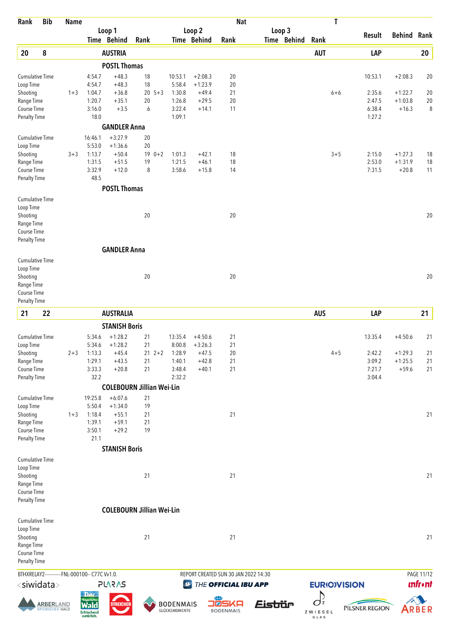| Rank                                           | <b>Bib</b>                            | <b>Name</b> |                                                       |                                  |          |               |                                   |                        |                           | <b>Nat</b>                           |             |                                    | T                  |                |                    |                |
|------------------------------------------------|---------------------------------------|-------------|-------------------------------------------------------|----------------------------------|----------|---------------|-----------------------------------|------------------------|---------------------------|--------------------------------------|-------------|------------------------------------|--------------------|----------------|--------------------|----------------|
|                                                |                                       |             |                                                       | Loop 1                           |          |               |                                   | Loop 2                 |                           |                                      | Loop 3      |                                    |                    | <b>Result</b>  | <b>Behind Rank</b> |                |
|                                                |                                       |             |                                                       | Time Behind                      | Rank     |               |                                   | Time Behind            | Rank                      |                                      | Time Behind | Rank                               |                    |                |                    |                |
| 20                                             | 8                                     |             |                                                       | <b>AUSTRIA</b>                   |          |               |                                   |                        |                           |                                      |             | <b>AUT</b>                         |                    | LAP            |                    | 20             |
|                                                |                                       |             |                                                       | <b>POSTL Thomas</b>              |          |               |                                   |                        |                           |                                      |             |                                    |                    |                |                    |                |
| Cumulative Time<br>Loop Time                   |                                       |             | 4:54.7<br>4:54.7                                      | $+48.3$<br>$+48.3$               | 18<br>18 |               | 10:53.1<br>5:58.4                 | $+2:08.3$<br>$+1:23.9$ | 20<br>20                  |                                      |             |                                    |                    | 10:53.1        | $+2:08.3$          | 20             |
| Shooting                                       |                                       | $1 + 3$     | 1:04.7                                                | $+36.8$                          |          | $20 \t 5 + 3$ | 1:30.8                            | $+49.4$                | 21                        |                                      |             |                                    | $6 + 6$            | 2:35.6         | $+1:22.7$          | 20             |
| Range Time                                     |                                       |             | 1:20.7                                                | $+35.1$                          | 20       |               | 1:26.8                            | $+29.5$                | 20                        |                                      |             |                                    |                    | 2:47.5         | $+1:03.8$          | $20\,$         |
| Course Time                                    |                                       |             | 3:16.0                                                | $+3.5$                           | 6        |               | 3:22.4                            | $+14.1$                | 11                        |                                      |             |                                    |                    | 6:38.4         | $+16.3$            | 8              |
| Penalty Time                                   |                                       |             | 18.0                                                  |                                  |          |               | 1:09.1                            |                        |                           |                                      |             |                                    |                    | 1:27.2         |                    |                |
| <b>Cumulative Time</b>                         |                                       |             | 16:46.1                                               | <b>GANDLER Anna</b><br>$+3:27.9$ |          |               |                                   |                        |                           |                                      |             |                                    |                    |                |                    |                |
| Loop Time                                      |                                       |             | 5:53.0                                                | $+1:36.6$                        | 20<br>20 |               |                                   |                        |                           |                                      |             |                                    |                    |                |                    |                |
| Shooting                                       |                                       | $3 + 3$     | 1:13.7                                                | $+50.4$                          |          | $190+2$       | 1:01.3                            | $+42.1$                | 18                        |                                      |             |                                    | $3 + 5$            | 2:15.0         | $+1:27.3$          | 18             |
| Range Time                                     |                                       |             | 1:31.5                                                | $+51.5$                          | 19       |               | 1:21.5                            | $+46.1$                | 18                        |                                      |             |                                    |                    | 2:53.0         | $+1:31.9$          | 18             |
| Course Time<br>Penalty Time                    |                                       |             | 3:32.9<br>48.5                                        | $+12.0$                          | 8        |               | 3:58.6                            | $+15.8$                | 14                        |                                      |             |                                    |                    | 7:31.5         | $+20.8$            | 11             |
|                                                |                                       |             |                                                       | <b>POSTL Thomas</b>              |          |               |                                   |                        |                           |                                      |             |                                    |                    |                |                    |                |
| Cumulative Time                                |                                       |             |                                                       |                                  |          |               |                                   |                        |                           |                                      |             |                                    |                    |                |                    |                |
| Loop Time                                      |                                       |             |                                                       |                                  |          |               |                                   |                        |                           |                                      |             |                                    |                    |                |                    |                |
| Shooting                                       |                                       |             |                                                       |                                  | 20       |               |                                   |                        | 20                        |                                      |             |                                    |                    |                |                    | 20             |
| Range Time<br>Course Time                      |                                       |             |                                                       |                                  |          |               |                                   |                        |                           |                                      |             |                                    |                    |                |                    |                |
| Penalty Time                                   |                                       |             |                                                       |                                  |          |               |                                   |                        |                           |                                      |             |                                    |                    |                |                    |                |
|                                                |                                       |             |                                                       | <b>GANDLER Anna</b>              |          |               |                                   |                        |                           |                                      |             |                                    |                    |                |                    |                |
| Cumulative Time                                |                                       |             |                                                       |                                  |          |               |                                   |                        |                           |                                      |             |                                    |                    |                |                    |                |
| Loop Time                                      |                                       |             |                                                       |                                  |          |               |                                   |                        |                           |                                      |             |                                    |                    |                |                    |                |
| Shooting                                       |                                       |             |                                                       |                                  | 20       |               |                                   |                        | 20                        |                                      |             |                                    |                    |                |                    | 20             |
| Range Time                                     |                                       |             |                                                       |                                  |          |               |                                   |                        |                           |                                      |             |                                    |                    |                |                    |                |
| Course Time<br><b>Penalty Time</b>             |                                       |             |                                                       |                                  |          |               |                                   |                        |                           |                                      |             |                                    |                    |                |                    |                |
| 21                                             | 22                                    |             |                                                       | <b>AUSTRALIA</b>                 |          |               |                                   |                        |                           |                                      |             | <b>AUS</b>                         |                    | LAP            |                    | 21             |
|                                                |                                       |             |                                                       |                                  |          |               |                                   |                        |                           |                                      |             |                                    |                    |                |                    |                |
|                                                |                                       |             |                                                       | <b>STANISH Boris</b>             |          |               |                                   |                        |                           |                                      |             |                                    |                    |                |                    |                |
| Cumulative Time<br>Loop Time                   |                                       |             | 5:34.6<br>5:34.6                                      | $+1:28.2$<br>$+1:28.2$           | 21<br>21 |               | 13:35.4<br>8:00.8                 | $+4:50.6$<br>$+3:26.3$ | 21<br>21                  |                                      |             |                                    |                    | 13:35.4        | $+4:50.6$          | 21             |
| Shooting                                       |                                       | $2 + 3$     | 1:13.3                                                | $+45.4$                          |          | $21 \t2+2$    | 1:28.9                            | $+47.5$                | $20\,$                    |                                      |             |                                    | $4 + 5$            | 2:42.2         | $+1:29.3$          | $21$           |
| Range Time                                     |                                       |             | 1:29.1                                                | $+43.5$                          | 21       |               | 1:40.1                            | $+42.8$                | 21                        |                                      |             |                                    |                    | 3:09.2         | $+1:25.5$          | 21             |
| Course Time                                    |                                       |             | 3:33.3                                                | $+20.8$                          | 21       |               | 3:48.4                            | $+40.1$                | 21                        |                                      |             |                                    |                    | 7:21.7         | $+59.6$            | 21             |
| <b>Penalty Time</b>                            |                                       |             | 32.2                                                  |                                  |          |               | 2:32.2                            |                        |                           |                                      |             |                                    |                    | 3:04.4         |                    |                |
|                                                |                                       |             |                                                       | <b>COLEBOURN Jillian Wei-Lin</b> |          |               |                                   |                        |                           |                                      |             |                                    |                    |                |                    |                |
| Cumulative Time<br>Loop Time                   |                                       |             | 19:25.8<br>5:50.4                                     | $+6:07.6$<br>$+1:34.0$           | 21<br>19 |               |                                   |                        |                           |                                      |             |                                    |                    |                |                    |                |
| Shooting                                       |                                       | $1 + 3$     | 1:18.4                                                | $+55.1$                          | 21       |               |                                   |                        | 21                        |                                      |             |                                    |                    |                |                    | 21             |
| Range Time                                     |                                       |             | 1:39.1                                                | $+59.1$                          | 21       |               |                                   |                        |                           |                                      |             |                                    |                    |                |                    |                |
| Course Time                                    |                                       |             | 3:50.1                                                | $+29.2$                          | 19       |               |                                   |                        |                           |                                      |             |                                    |                    |                |                    |                |
| <b>Penalty Time</b>                            |                                       |             | 21.1                                                  |                                  |          |               |                                   |                        |                           |                                      |             |                                    |                    |                |                    |                |
|                                                |                                       |             |                                                       | <b>STANISH Boris</b>             |          |               |                                   |                        |                           |                                      |             |                                    |                    |                |                    |                |
| Cumulative Time<br>Loop Time                   |                                       |             |                                                       |                                  |          |               |                                   |                        |                           |                                      |             |                                    |                    |                |                    |                |
| Shooting                                       |                                       |             |                                                       |                                  | 21       |               |                                   |                        | 21                        |                                      |             |                                    |                    |                |                    | 21             |
| Range Time                                     |                                       |             |                                                       |                                  |          |               |                                   |                        |                           |                                      |             |                                    |                    |                |                    |                |
| Course Time                                    |                                       |             |                                                       |                                  |          |               |                                   |                        |                           |                                      |             |                                    |                    |                |                    |                |
| <b>Penalty Time</b>                            |                                       |             |                                                       |                                  |          |               |                                   |                        |                           |                                      |             |                                    |                    |                |                    |                |
|                                                |                                       |             |                                                       | <b>COLEBOURN Jillian Wei-Lin</b> |          |               |                                   |                        |                           |                                      |             |                                    |                    |                |                    |                |
| Cumulative Time                                |                                       |             |                                                       |                                  |          |               |                                   |                        |                           |                                      |             |                                    |                    |                |                    |                |
| Loop Time<br>Shooting                          |                                       |             |                                                       |                                  | 21       |               |                                   |                        | 21                        |                                      |             |                                    |                    |                |                    | 21             |
| Range Time                                     |                                       |             |                                                       |                                  |          |               |                                   |                        |                           |                                      |             |                                    |                    |                |                    |                |
| Course Time                                    |                                       |             |                                                       |                                  |          |               |                                   |                        |                           |                                      |             |                                    |                    |                |                    |                |
| <b>Penalty Time</b>                            |                                       |             |                                                       |                                  |          |               |                                   |                        |                           |                                      |             |                                    |                    |                |                    |                |
| BTHXRELAY2------------FNL-000100-- C77C Vv1.0. |                                       |             |                                                       |                                  |          |               |                                   |                        |                           | REPORT CREATED SUN 30 JAN 2022 14:30 |             |                                    |                    |                |                    | PAGE 11/12     |
| <siwidata></siwidata>                          |                                       |             |                                                       | <b>SVSV75</b>                    |          |               | $\mathcal{Q}$                     |                        |                           | THE OFFICIAL IBU APP                 |             |                                    | <b>EURIOVISION</b> |                |                    | <b>unfront</b> |
|                                                |                                       |             | <b>Der</b>                                            |                                  |          |               |                                   |                        |                           |                                      |             | D                                  |                    |                |                    |                |
|                                                | <b>ARBER</b> LAND<br>BAYERISCHER WALD |             | <b>Rayerische</b><br><b>Erfrischend</b><br>natürlich. | <b>STREICHER</b>                 |          |               | <b>BODENMAIS</b><br>GLÜCKSMOMENTE |                        | O®SKA<br><b>BODENMAIS</b> | <u> Eistiür</u>                      |             | $\overline{O}z$<br>ZWIESEL<br>GLAS |                    | PILSNER REGION |                    | ARBER          |

 $Z W I E S E L$